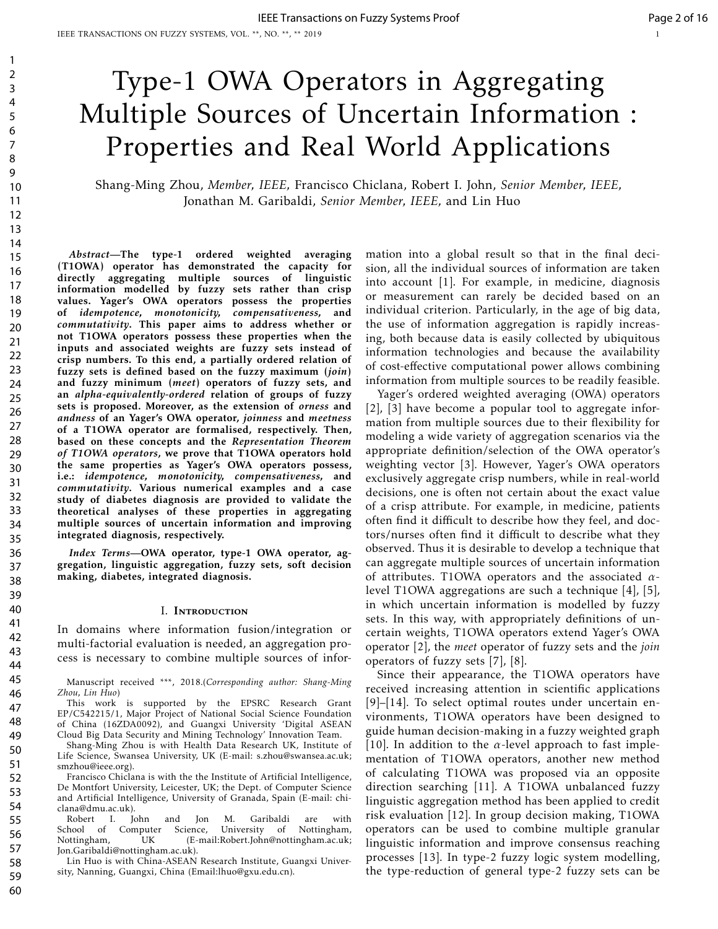IEEE TRANSACTIONS ON FUZZY SYSTEMS, VOL. \*\*, NO. \*\*, \*\* 2019

# Type-1 OWA Operators in Aggregating Multiple Sources of Uncertain Information : Properties and Real World Applications

Shang-Ming Zhou, *Member, IEEE,* Francisco Chiclana, Robert I. John, *Senior Member, IEEE,* Jonathan M. Garibaldi, *Senior Member, IEEE,* and Lin Huo

*Abstract*—The type-1 ordered weighted averaging (T1OWA) operator has demonstrated the capacity for directly aggregating multiple sources of linguistic information modelled by fuzzy sets rather than crisp values. Yager's OWA operators possess the properties of *idempotence, monotonicity, compensativeness,* and *commutativity*. This paper aims to address whether or not T1OWA operators possess these properties when the inputs and associated weights are fuzzy sets instead of crisp numbers. To this end, a partially ordered relation of fuzzy sets is defined based on the fuzzy maximum (*join*) and fuzzy minimum (*meet*) operators of fuzzy sets, and an *alpha-equivalently-ordered* relation of groups of fuzzy sets is proposed. Moreover, as the extension of *orness* and *andness* of an Yager's OWA operator, *joinness* and *meetness* of a T1OWA operator are formalised, respectively. Then, based on these concepts and the *Representation Theorem of T1OWA operators*, we prove that T1OWA operators hold the same properties as Yager's OWA operators possess, i.e.: *idempotence, monotonicity, compensativeness,* and *commutativity*. Various numerical examples and a case study of diabetes diagnosis are provided to validate the theoretical analyses of these properties in aggregating multiple sources of uncertain information and improving integrated diagnosis, respectively.

*Index Terms*—OWA operator, type-1 OWA operator, aggregation, linguistic aggregation, fuzzy sets, soft decision making, diabetes, integrated diagnosis.

#### I. Introduction

In domains where information fusion/integration or multi-factorial evaluation is needed, an aggregation process is necessary to combine multiple sources of infor-

This work is supported by the EPSRC Research Grant EP/C542215/1, Major Project of National Social Science Foundation of China (16ZDA0092), and Guangxi University 'Digital ASEAN Cloud Big Data Security and Mining Technology' Innovation Team.

Shang-Ming Zhou is with Health Data Research UK, Institute of Life Science, Swansea University, UK (E-mail: s.zhou@swansea.ac.uk; smzhou@ieee.org).

Francisco Chiclana is with the the Institute of Artificial Intelligence, De Montfort University, Leicester, UK; the Dept. of Computer Science and Artificial Intelligence, University of Granada, Spain (E-mail: chiclana@dmu.ac.uk).

Robert I. John and Jon M. Garibaldi are with<br>hool of Computer Science, University of Nottingham, School of Computer Science, Nottingham, UK (E-mail:Robert.John@nottingham.ac.uk; Jon.Garibaldi@nottingham.ac.uk).

Lin Huo is with China-ASEAN Research Institute, Guangxi University, Nanning, Guangxi, China (Email:lhuo@gxu.edu.cn).

mation into a global result so that in the final decision, all the individual sources of information are taken into account [1]. For example, in medicine, diagnosis or measurement can rarely be decided based on an individual criterion. Particularly, in the age of big data, the use of information aggregation is rapidly increasing, both because data is easily collected by ubiquitous information technologies and because the availability of cost-effective computational power allows combining information from multiple sources to be readily feasible.

Yager's ordered weighted averaging (OWA) operators [2], [3] have become a popular tool to aggregate information from multiple sources due to their flexibility for modeling a wide variety of aggregation scenarios via the appropriate definition/selection of the OWA operator's weighting vector [3]. However, Yager's OWA operators exclusively aggregate crisp numbers, while in real-world decisions, one is often not certain about the exact value of a crisp attribute. For example, in medicine, patients often find it difficult to describe how they feel, and doctors/nurses often find it difficult to describe what they observed. Thus it is desirable to develop a technique that can aggregate multiple sources of uncertain information of attributes. T1OWA operators and the associated *α*level T1OWA aggregations are such a technique [4], [5], in which uncertain information is modelled by fuzzy sets. In this way, with appropriately definitions of uncertain weights, T1OWA operators extend Yager's OWA operator [2], the *meet* operator of fuzzy sets and the *join* operators of fuzzy sets [7], [8].

Since their appearance, the T1OWA operators have received increasing attention in scientific applications [9]–[14]. To select optimal routes under uncertain environments, T1OWA operators have been designed to guide human decision-making in a fuzzy weighted graph [10]. In addition to the  $\alpha$ -level approach to fast implementation of T1OWA operators, another new method of calculating T1OWA was proposed via an opposite direction searching [11]. A T1OWA unbalanced fuzzy linguistic aggregation method has been applied to credit risk evaluation [12]. In group decision making, T1OWA operators can be used to combine multiple granular linguistic information and improve consensus reaching processes [13]. In type-2 fuzzy logic system modelling, the type-reduction of general type-2 fuzzy sets can be

60

Manuscript received \*\*\*, 2018.(*Corresponding author: Shang-Ming Zhou, Lin Huo*)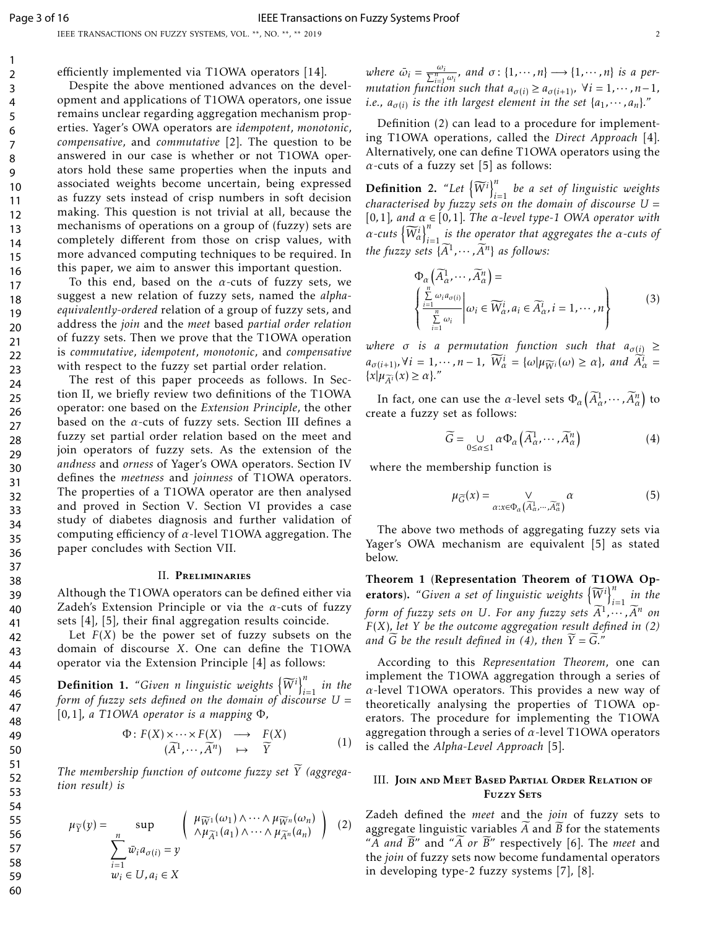efficiently implemented via T1OWA operators [14].

Despite the above mentioned advances on the development and applications of T1OWA operators, one issue remains unclear regarding aggregation mechanism properties. Yager's OWA operators are *idempotent*, *monotonic*, *compensative*, and *commutative* [2]. The question to be answered in our case is whether or not T1OWA operators hold these same properties when the inputs and associated weights become uncertain, being expressed as fuzzy sets instead of crisp numbers in soft decision making. This question is not trivial at all, because the mechanisms of operations on a group of (fuzzy) sets are completely different from those on crisp values, with more advanced computing techniques to be required. In this paper, we aim to answer this important question.

To this end, based on the *α*-cuts of fuzzy sets, we suggest a new relation of fuzzy sets, named the *alphaequivalently-ordered* relation of a group of fuzzy sets, and address the *join* and the *meet* based *partial order relation* of fuzzy sets. Then we prove that the T1OWA operation is *commutative*, *idempotent*, *monotonic*, and *compensative* with respect to the fuzzy set partial order relation.

The rest of this paper proceeds as follows. In Section II, we briefly review two definitions of the T1OWA operator: one based on the *Extension Principle*, the other based on the *α*-cuts of fuzzy sets. Section III defines a fuzzy set partial order relation based on the meet and join operators of fuzzy sets. As the extension of the *andness* and *orness* of Yager's OWA operators. Section IV defines the *meetness* and *joinness* of T1OWA operators. The properties of a T1OWA operator are then analysed and proved in Section V. Section VI provides a case study of diabetes diagnosis and further validation of computing efficiency of *α*-level T1OWA aggregation. The paper concludes with Section VII.

#### II. Preliminaries

Although the T1OWA operators can be defined either via Zadeh's Extension Principle or via the *α*-cuts of fuzzy sets [4], [5], their final aggregation results coincide.

Let  $F(X)$  be the power set of fuzzy subsets on the domain of discourse *X*. One can define the T1OWA operator via the Extension Principle [4] as follows:

**Definition 1.** "Given *n* linguistic weights  $\left\{\widetilde{W}^i\right\}_{i=1}^n$ *i*=1 *in the form of fuzzy sets defined on the domain of discourse*  $U =$ [0*,*1]*, a T1OWA operator is a mapping* Φ*,*

$$
\Phi: F(X) \times \cdots \times F(X) \longrightarrow F(X) (\widetilde{A}^1, \cdots, \widetilde{A}^n) \longrightarrow \widetilde{Y}
$$
 (1)

The membership function of outcome fuzzy set  $\overline{Y}$  (aggrega*tion result) is*

$$
\mu_{\widetilde{Y}}(y) = \sup_{\substack{n \\ \sum_{i=1}^n \overline{w}_i a_{\sigma(i)} = y}} \left( \mu_{\widetilde{W}^1}(\omega_1) \wedge \cdots \wedge \mu_{\widetilde{M}^n}(\omega_n) \right) (2)
$$
  

$$
\sum_{i=1}^n \overline{w}_i a_{\sigma(i)} = y
$$
  

$$
w_i \in U, a_i \in X
$$

*where*  $\bar{\omega}_i = \frac{\omega_i}{\sum_{i=1}^n \omega_i}$ , and  $\sigma: \{1, \dots, n\} \longrightarrow \{1, \dots, n\}$  is a per*mutation function such that*  $a_{\sigma(i)} \ge a_{\sigma(i+1)}$ ,  $\forall i = 1, \dots, n-1$ , *i.e.,*  $a_{\sigma(i)}$  *is the ith largest element in the set*  $\{a_1, \dots, a_n\}$ ."

Definition (2) can lead to a procedure for implementing T1OWA operations, called the *Direct Approach* [4]. Alternatively, one can define T1OWA operators using the *α*-cuts of a fuzzy set [5] as follows:

**Definition** 2. *"Let*  $\left\{\widetilde{W}^i\right\}_{i=1}^n$ *i*=1 *be a set of linguistic weights characterised by fuzzy sets on the domain of discourse*  $U =$ [0*,*1]*, and α* ∈ [0*,*1]*. The α-level type-1 OWA operator with*  $\alpha$ *-cuts*  $\left\{\widetilde{W}_{\alpha}^{i}\right\}_{i=1}^{n}$ *i*=1 *is the operator that aggregates the α-cuts of the fuzzy sets*  $\{A^1, \dots, A^n\}$  *as follows:* 

$$
\Phi_{\alpha} \left( \widetilde{A}_{\alpha}^1, \cdots, \widetilde{A}_{\alpha}^n \right) =
$$
\n
$$
\left\{ \frac{\sum\limits_{i=1}^n \omega_i a_{\sigma(i)}}{\sum\limits_{i=1}^n \omega_i} \middle| \omega_i \in \widetilde{W}_{\alpha}^i, a_i \in \widetilde{A}_{\alpha}^i, i = 1, \cdots, n \right\}
$$
\n(3)

*where σ is a permutation function such that*  $a_{\sigma(i)} \geq$  $a_{\sigma(i+1)}, \forall i = 1, \cdots, n-1$ ,  $\widetilde{W}^i_{\alpha} = {\omega | \mu_{\widetilde{W}^i}(\omega) \geq \alpha},$  and  $\widetilde{A}^i_{\alpha} = {\omega | \mu_{\widetilde{W}^i}(\omega) \geq \alpha}$  ${x|\mu_{\widetilde{A}}(x) \geq \alpha}$ ."

In fact, one can use the *α*-level sets  $\Phi_{\alpha}(\widetilde{A}_{\alpha}^1, \cdots, \widetilde{A}_{\alpha}^n)$  to create a fuzzy set as follows:

$$
\widetilde{G} = \bigcup_{0 \le \alpha \le 1} \alpha \Phi_{\alpha} \left( \widetilde{A}_{\alpha}^1, \cdots, \widetilde{A}_{\alpha}^n \right) \tag{4}
$$

where the membership function is

$$
\mu_{\widetilde{G}}(x) = \underset{\alpha: x \in \Phi_{\alpha}(\widetilde{A}^1_{\alpha}, \cdots, \widetilde{A}^n_{\alpha})}{\vee} \alpha
$$
\n(5)

The above two methods of aggregating fuzzy sets via Yager's OWA mechanism are equivalent [5] as stated below.

Theorem 1 (Representation Theorem of T1OWA Operators). "Given a set of linguistic weights  $\left\{\widetilde{W}^i\right\}_{i=1}^n$  $\sum_{i=1}^{\infty}$  *in the form of fuzzy sets on U. For any fuzzy sets*  $\widetilde{A}^1, \cdots, \widetilde{A}^n$  *on F*(*X*)*, let Y be the outcome aggregation result defined in (2)* and *G* be the result defined in (4), then  $Y = G$ ."

According to this *Representation Theorem*, one can implement the T1OWA aggregation through a series of *α*-level T1OWA operators. This provides a new way of theoretically analysing the properties of T1OWA operators. The procedure for implementing the T1OWA aggregation through a series of *α*-level T1OWA operators is called the *Alpha-Level Approach* [5].

# III. Join and Meet Based Partial Order Relation of **FUZZY SETS**

Zadeh defined the *meet* and the *join* of fuzzy sets to aggregate linguistic variables *A* and *B* for the statements "*A*e *and B*e" and "*A*e *or B*e" respectively [6]. The *meet* and the *join* of fuzzy sets now become fundamental operators in developing type-2 fuzzy systems [7], [8].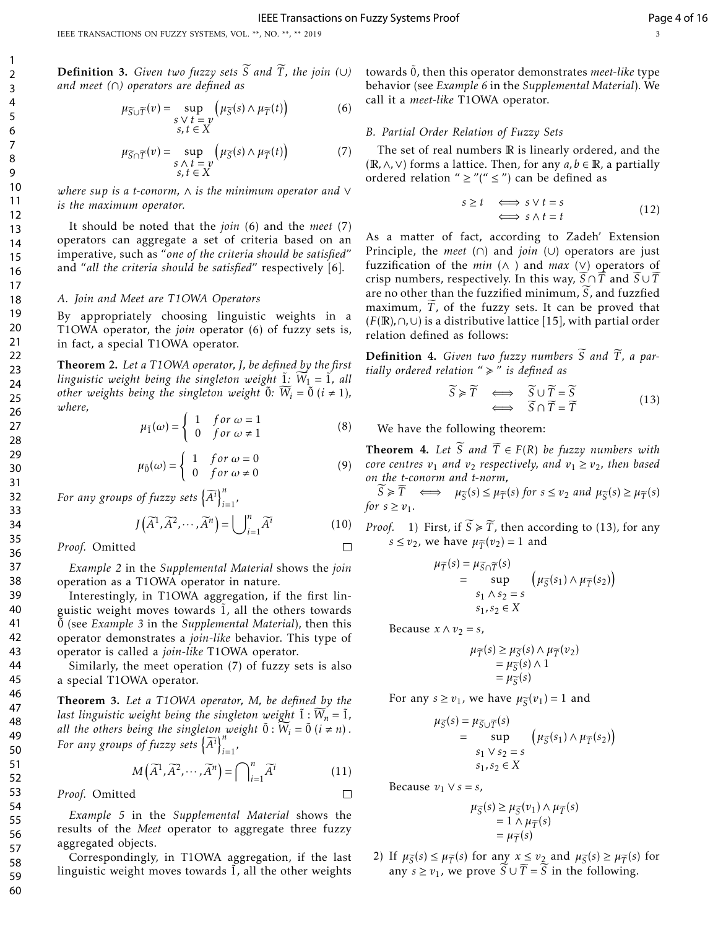**Definition 3.** Given two fuzzy sets  $\widetilde{S}$  and  $\widetilde{T}$ , the join (∪) *and meet (*∩*) operators are defined as*

$$
\mu_{\widetilde{S}\cup\widetilde{T}}(v) = \sup_{\substack{S \ \vee \ t \ = \ v}} \left( \mu_{\widetilde{S}}(s) \wedge \mu_{\widetilde{T}}(t) \right) \tag{6}
$$
\n
$$
s, t \in X
$$

$$
\mu_{\widetilde{S}\cap\widetilde{T}}(v) = \sup_{\substack{S \,\wedge\, t \,=\, v \\ S, t \, \in \, X}} \left( \mu_{\widetilde{S}}(s) \wedge \mu_{\widetilde{T}}(t) \right) \tag{7}
$$

*where sup is a t-conorm,* ∧ *is the minimum operator and* ∨ *is the maximum operator.*

It should be noted that the *join* (6) and the *meet* (7) operators can aggregate a set of criteria based on an imperative, such as "*one of the criteria should be satisfied*" and "*all the criteria should be satisfied*" respectively [6].

### *A. Join and Meet are T1OWA Operators*

By appropriately choosing linguistic weights in a T1OWA operator, the *join* operator (6) of fuzzy sets is, in fact, a special T1OWA operator.

Theorem 2. *Let a T1OWA operator, J, be defined by the first linguistic weight being the singleton weight*  $\tilde{I}: \widetilde{W}_1 = \tilde{I}$ *, all other weights being the singleton weight*  $\tilde{0}$ *:*  $\tilde{W}_i = \tilde{0}$  ( $i \neq 1$ )*, where,*

$$
\mu_{\tilde{1}}(\omega) = \begin{cases} 1 & \text{for } \omega = 1 \\ 0 & \text{for } \omega \neq 1 \end{cases}
$$
 (8)

$$
\mu_{\tilde{0}}(\omega) = \begin{cases} 1 & \text{for } \omega = 0 \\ 0 & \text{for } \omega \neq 0 \end{cases}
$$
 (9)

For any groups of fuzzy sets  $\left\{ \widetilde{A}^{i}\right\} _{i=1}^{n}$ *i*=1 *,*

$$
J\left(\widetilde{A}^1, \widetilde{A}^2, \cdots, \widetilde{A}^n\right) = \bigcup_{i=1}^n \widetilde{A}^i
$$
 (10)

*Proof.* Omitted

*Example 2* in the *Supplemental Material* shows the *join* operation as a T1OWA operator in nature.

Interestingly, in T1OWA aggregation, if the first linguistic weight moves towards  $\tilde{1}$ , all the others towards 0 (see ˜ *Example 3* in the *Supplemental Material*), then this operator demonstrates a *join-like* behavior. This type of operator is called a *join-like* T1OWA operator.

Similarly, the meet operation (7) of fuzzy sets is also a special T1OWA operator.

Theorem 3. *Let a T1OWA operator, M, be defined by the last linguistic weight being the singleton weight*  $\tilde{1}$  :  $\tilde{W}_n = \tilde{1}$ *, all the others being the singleton weight*  $\tilde{0}$ :  $\widetilde{W}_i = \tilde{0}$  ( $i \neq n$ ). For any groups of fuzzy sets  $\left\{\widetilde{A}^{i}\right\}_{i=1}^{n}$ *i*=1 *,*

$$
M\left(\widetilde{A}^1,\widetilde{A}^2,\cdots,\widetilde{A}^n\right) = \bigcap_{i=1}^n \widetilde{A}^i
$$
 (11)

*Proof.* Omitted

*Example 5* in the *Supplemental Material* shows the results of the *Meet* operator to aggregate three fuzzy aggregated objects.

Correspondingly, in T1OWA aggregation, if the last linguistic weight moves towards  $\tilde{1}$ , all the other weights towards  $\tilde{0}$ , then this operator demonstrates *meet-like* type behavior (see *Example 6* in the *Supplemental Material*). We call it a *meet-like* T1OWA operator.

### *B. Partial Order Relation of Fuzzy Sets*

The set of real numbers  $\mathbb R$  is linearly ordered, and the (R*,*∧*,*∨) forms a lattice. Then, for any *a,b* ∈ R, a partially ordered relation "  $\ge$  "("  $\le$  ") can be defined as

$$
s \ge t \iff s \lor t = s
$$
  

$$
\iff s \land t = t
$$
 (12)

As a matter of fact, according to Zadeh' Extension Principle, the *meet* (∩) and *join* (∪) operators are just fuzzification of the *min* (∧ ) and *max* (∨) operators of crisp numbers, respectively. In this way,  $S \cap T$  and  $S \cup T$ are no other than the fuzzified minimum, S, and fuzzfied maximum,  $\overline{T}$ , of the fuzzy sets. It can be proved that (*F*(R)*,*∩*,*∪) is a distributive lattice [15], with partial order relation defined as follows:

**Definition 4.** Given two fuzzy numbers  $\widetilde{S}$  and  $\widetilde{T}$ , a par*tially ordered relation* " < " *is defined as*

$$
\widetilde{S} \geqslant \widetilde{T} \iff \widetilde{S} \cup \widetilde{T} = \widetilde{S} \iff \widetilde{S} \cap \widetilde{T} = \widetilde{T}
$$
\n(13)

We have the following theorem:

**Theorem 4.** Let  $\overline{S}$  and  $\overline{T} \in F(R)$  be fuzzy numbers with *core centres*  $v_1$  *and*  $v_2$  *respectively, and*  $v_1 \ge v_2$ *, then based on the t-conorm and t-norm,*

 $\widetilde{S} \geq \widetilde{T} \iff \mu_{\widetilde{S}}(s) \leq \mu_{\widetilde{T}}(s)$  *for*  $s \leq v_2$  *and*  $\mu_{\widetilde{S}}(s) \geq \mu_{\widetilde{T}}(s)$ *for*  $s \geq v_1$ *.* 

*Proof.* 1) First, if  $S \ge T$ , then according to (13), for any *s*  $\le v_2$ , we have  $\mu_{\widetilde{T}}(v_2) = 1$  and

$$
\mu_{\widetilde{T}}(s) = \mu_{\widetilde{S} \cap \widetilde{T}}(s)
$$
  
= 
$$
\sup_{\substack{s_1 \wedge s_2 = s \\ s_1, s_2 \in X}} \left( \mu_{\widetilde{S}}(s_1) \wedge \mu_{\widetilde{T}}(s_2) \right)
$$

Because  $x \wedge v_2 = s$ ,

 $\Box$ 

 $\Box$ 

$$
\mu_{\widetilde{T}}(s) \ge \mu_{\widetilde{S}}(s) \land \mu_{\widetilde{T}}(v_2)
$$
  
=  $\mu_{\widetilde{S}}(s) \land 1$   
=  $\mu_{\widetilde{S}}(s)$ 

For any  $s \ge v_1$ , we have  $\mu_{\widetilde{S}}(v_1) = 1$  and

$$
\mu_{\widetilde{S}}(s) = \mu_{\widetilde{S}\cup\widetilde{T}}(s)
$$
  
= 
$$
\sup_{\substack{s_1 \vee s_2 = s \\ s_1, s_2 \in X}} \left( \mu_{\widetilde{S}}(s_1) \wedge \mu_{\widetilde{T}}(s_2) \right)
$$

Because  $v_1 \vee s = s$ ,

$$
\mu_{\widetilde{S}}(s) \ge \mu_{\widetilde{S}}(v_1) \wedge \mu_{\widetilde{T}}(s) \n= 1 \wedge \mu_{\widetilde{T}}(s) \n= \mu_{\widetilde{T}}(s)
$$

2) If  $\mu_{\widetilde{S}}(s) \leq \mu_{\widetilde{T}}(s)$  for any  $x \leq v_2$  and  $\mu_{\widetilde{S}}(s) \geq \mu_{\widetilde{T}}(s)$  for any  $s \ge v_1$ , we prove  $\overline{S} \cup \overline{T} = \overline{S}$  in the following.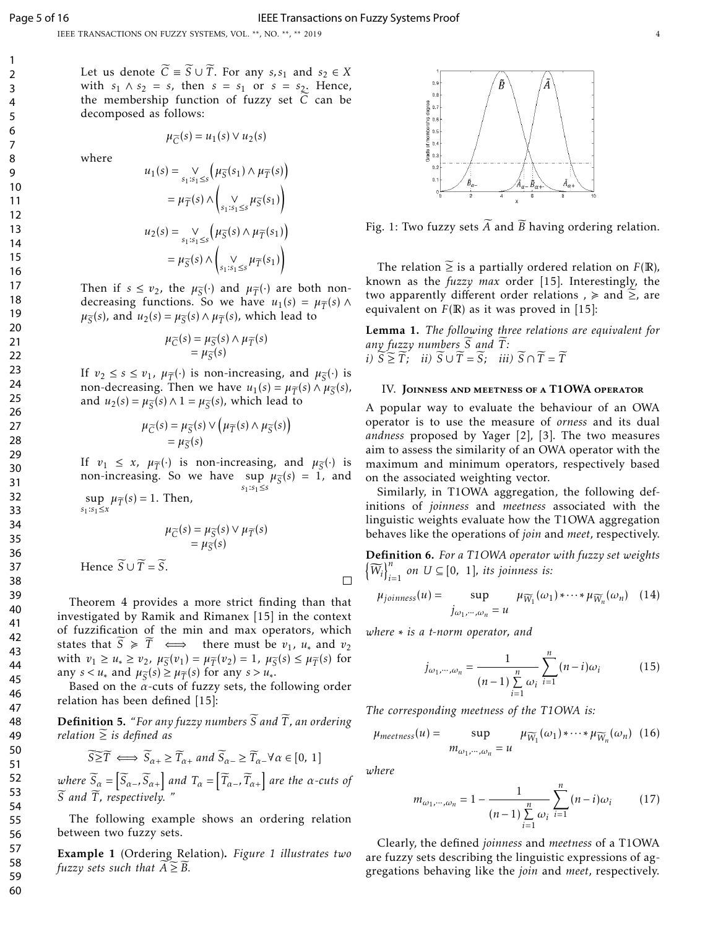Let us denote  $\widetilde{C} = \widetilde{S} \cup \widetilde{T}$ . For any *s*, *s*<sub>1</sub> and *s*<sub>2</sub>  $\in$  *X* with  $s_1 \wedge s_2 = s$ , then  $s = s_1$  or  $s = s_2$ . Hence, the membership function of fuzzy set C can be decomposed as follows:

$$
\mu_{\widetilde{C}}(s) = u_1(s) \vee u_2(s)
$$

where

$$
u_1(s) = \mathop{\vee}\limits_{s_1:s_1 \le s} \left( \mu_{\widetilde{S}}(s_1) \land \mu_{\widetilde{T}}(s) \right)
$$
  
\n
$$
= \mu_{\widetilde{T}}(s) \land \left( \mathop{\vee}\limits_{s_1:s_1 \le s} \mu_{\widetilde{S}}(s_1) \right)
$$
  
\n
$$
u_2(s) = \mathop{\vee}\limits_{s_1:s_1 \le s} \left( \mu_{\widetilde{S}}(s) \land \mu_{\widetilde{T}}(s_1) \right)
$$
  
\n
$$
= \mu_{\widetilde{S}}(s) \land \left( \mathop{\vee}\limits_{s_1:s_1 \le s} \mu_{\widetilde{T}}(s_1) \right)
$$

Then if  $s \le v_2$ , the  $\mu_{\overline{S}}(\cdot)$  and  $\mu_{\overline{T}}(\cdot)$  are both nondecreasing functions. So we have  $u_1(s) = \mu_{\widetilde{T}}(s) \wedge$  $\mu_{\overline{S}}(s)$ , and  $u_2(s) = \mu_{\overline{S}}(s) \wedge \mu_{\overline{T}}(s)$ , which lead to

$$
\mu_{\widetilde{C}}(s) = \mu_{\widetilde{S}}(s) \wedge \mu_{\widetilde{T}}(s)
$$
  
= 
$$
\mu_{\widetilde{S}}(s)
$$

If  $v_2 \leq s \leq v_1$ ,  $\mu_{\widetilde{T}}(\cdot)$  is non-increasing, and  $\mu_{\widetilde{S}}(\cdot)$  is non-decreasing. Then we have  $u_1(s) = \mu_{\widetilde{T}}(s) \wedge \mu_{\widetilde{S}}(s)$ , and  $u_2(s) = \mu_{\tilde{S}}(s) \wedge 1 = \mu_{\tilde{S}}(s)$ , which lead to

$$
\mu_{\widetilde{C}}(s) = \mu_{\widetilde{S}}(s) \vee \left( \mu_{\widetilde{T}}(s) \wedge \mu_{\widetilde{S}}(s) \right) = \mu_{\widetilde{S}}(s)
$$

If  $v_1 \le x$ ,  $\mu_{\widetilde{T}}(\cdot)$  is non-increasing, and  $\mu_{\widetilde{S}}(\cdot)$  is non-increasing. So we have  $\sup_{S_1: S_1 \le s} \mu_{\widetilde{S}}(s) = 1$ , and *s*1:*s*1≤*s*

 $\sup_{s,s_1\leq x}\mu_{\widetilde{T}}(s)=1.$  Then, *s*1:*s*1≤*x*  $\mu_{\widetilde{C}}(s) = \mu_{\widetilde{S}}(s) \vee \mu_{\widetilde{T}}(s)$  $= \mu_{\widetilde{c}}(s)$ 

Hence  $\widetilde{S} \cup \widetilde{T} = \widetilde{S}$ .

Theorem 4 provides a more strict finding than that investigated by Ramik and Rimanex [15] in the context of fuzzification of the min and max operators, which states that  $\widetilde{S} \geq T \iff$  there must be  $v_1$ ,  $u_*$  and  $v_2$ with  $v_1 \geq u_* \geq v_2$ ,  $\mu_{\overline{S}}(v_1) = \mu_{\overline{T}}(v_2) = 1$ ,  $\mu_{\overline{S}}(s) \leq \mu_{\overline{T}}(s)$  for any  $s < u_*$  and  $\mu_{\overline{S}}(s) \ge \mu_{\overline{T}}(s)$  for any  $s > u_*$ .<br>Because the *s* suite of fuggy sets the field

Based on the *α*-cuts of fuzzy sets, the following order relation has been defined [15]:

**Definition 5.** "For any fuzzy numbers S and T, an ordering *relation*  $\geq$  *is defined as* 

$$
\widetilde{S}\widetilde{\geq T} \iff \widetilde{S}_{\alpha+} \geq \widetilde{T}_{\alpha+} \text{ and } \widetilde{S}_{\alpha-} \geq \widetilde{T}_{\alpha-} \forall \alpha \in [0, 1]
$$

 $\omega$ *kere*  $\widetilde{S}_\alpha = \left[ \widetilde{S}_{\alpha-}$ *,*  $\widetilde{S}_{\alpha+} \right]$  and  $T_\alpha = \left[ \widetilde{T}_{\alpha-}$ *,*  $\widetilde{T}_{\alpha+} \right]$  *are the*  $\alpha$ *-cuts of*  $\widetilde{S}$  and  $\widetilde{T}$ , respectively. "

The following example shows an ordering relation between two fuzzy sets.

Example 1 (Ordering Relation). *Figure 1 illustrates two fuzzy sets such that*  $A \geq B$ *.* 



Fig. 1: Two fuzzy sets  $\widetilde{A}$  and  $\widetilde{B}$  having ordering relation.

The relation  $\geq$  is a partially ordered relation on  $F(\mathbb{R})$ *,* known as the *fuzzy max* order [15]. Interestingly, the two apparently different order relations ,  $\ge$  and  $\ge$ , are equivalent on  $F(\mathbb{R})$  as it was proved in [15]:

Lemma 1. *The following three relations are equivalent for any fuzzy numbers S*e *and T*e*: i*)  $S \geq \tilde{T}$ *; ii*)  $\tilde{S} \cup \tilde{T} = \tilde{S}$ *; iii*)  $\tilde{S} \cap \tilde{T} = \tilde{T}$ 

#### IV. Joinness and meetness of a T1OWA operator

A popular way to evaluate the behaviour of an OWA operator is to use the measure of *orness* and its dual *andness* proposed by Yager [2], [3]. The two measures aim to assess the similarity of an OWA operator with the maximum and minimum operators, respectively based on the associated weighting vector.

Similarly, in T1OWA aggregation, the following definitions of *joinness* and *meetness* associated with the linguistic weights evaluate how the T1OWA aggregation behaves like the operations of *join* and *meet*, respectively.

Definition 6. *For a T1OWA operator with fuzzy set weights*  $\left\{\widetilde{W}_i\right\}_{i=1}^n$  $\sum_{i=1}^{n}$  on  $U \subseteq [0, 1]$ , its joinness is:

$$
\mu_{joinness}(u) = \sup_{\substack{j_{\omega_1,\cdots,\omega_n} = u}} \mu_{\widetilde{W}_1}(\omega_1) \cdots \mu_{\widetilde{W}_n}(\omega_n) \quad (14)
$$

*where* ∗ *is a t-norm operator, and*

$$
j_{\omega_1, \cdots, \omega_n} = \frac{1}{(n-1)\sum_{i=1}^n \omega_i} \sum_{i=1}^n (n-i)\omega_i
$$
 (15)

*The corresponding meetness of the T1OWA is:*

$$
\mu_{meetness}(u) = \sup_{m_{\omega_1,\cdots,\omega_n}=u} \mu_{\widetilde{W}_1}(\omega_1) * \cdots * \mu_{\widetilde{W}_n}(\omega_n) \tag{16}
$$

*where*

 $\Box$ 

$$
m_{\omega_1, \cdots, \omega_n} = 1 - \frac{1}{(n-1) \sum_{i=1}^n \omega_i} \sum_{i=1}^n (n-i) \omega_i \qquad (17)
$$

Clearly, the defined *joinness* and *meetness* of a T1OWA are fuzzy sets describing the linguistic expressions of aggregations behaving like the *join* and *meet*, respectively.

59 60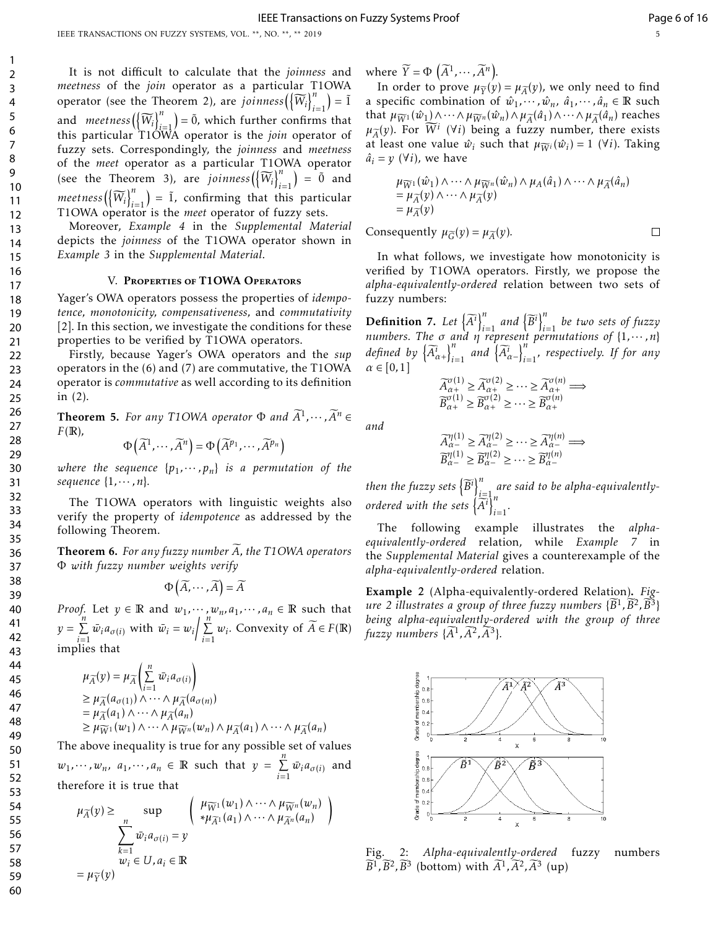$\Box$ 

It is not difficult to calculate that the *joinness* and *meetness* of the *join* operator as a particular T1OWA operator (see the Theorem 2), are *joinness* $({{\widetilde{W_i}}})^n_i$ *i*=1  $=$  1 and *meetness* $\left(\left\{\widetilde{W}_i\right\}_{i=1}^n\right)$ *i*=1  $= 0$ <sup>,</sup> which further confirms that this particular T1OWA operator is the *join* operator of fuzzy sets. Correspondingly, the *joinness* and *meetness* of the *meet* operator as a particular T1OWA operator (see the Theorem 3), are *joinness*  $\left(\left\{\widetilde{W}_i\right\}_{i=1}^n\right)$ *i*=1  $= 0$  and  $meetness\left(\left\lbrace \widetilde{W}_i \right\rbrace^n_{i} \right)$ *i*=1 ) = 1<sup>*,*</sup> confirming that this particular T1OWA operator is the *meet* operator of fuzzy sets.

Moreover, *Example 4* in the *Supplemental Material* depicts the *joinness* of the T1OWA operator shown in *Example 3* in the *Supplemental Material*.

### V. Properties of T1OWA Operators

Yager's OWA operators possess the properties of *idempotence, monotonicity, compensativeness,* and *commutativity* [2]. In this section, we investigate the conditions for these properties to be verified by T1OWA operators.

Firstly, because Yager's OWA operators and the *sup* operators in the (6) and (7) are commutative, the T1OWA operator is *commutative* as well according to its definition in (2).

**Theorem 5.** For any T1OWA operator  $\Phi$  and  $\widetilde{A}^1, \dots, \widetilde{A}^n \in \mathbb{R}$ *F*(R)*,*

$$
\Phi\left(\widetilde{A}^1,\cdots,\widetilde{A}^n\right)=\Phi\left(\widetilde{A}^{p_1},\cdots,\widetilde{A}^{p_n}\right)
$$

*where the sequence*  $\{p_1, \dots, p_n\}$  *is a permutation of the sequence* {1*,*··· *,n*}*.*

The T1OWA operators with linguistic weights also verify the property of *idempotence* as addressed by the following Theorem.

**Theorem 6.** For any fuzzy number A, the T1OWA operators Φ *with fuzzy number weights verify*

$$
\Phi\left(\widetilde{A},\cdots,\widetilde{A}\right)=\widetilde{A}
$$

*Proof.* Let  $y \in \mathbb{R}$  and  $w_1, \dots, w_n, a_1, \dots, a_n \in \mathbb{R}$  such that  $y = \sum_{n=1}^{n}$  $\sum_{i=1}^{n} \overline{w}_i a_{\sigma(i)}$  with  $\overline{w}_i = w_i / \sum_{i=1}^{n}$  $\sum_{i=1}^{n} w_i$ . Convexity of  $\widetilde{A} \in F(\mathbb{R})$ implies that

$$
\mu_{\widetilde{A}}(y) = \mu_{\widetilde{A}}\left(\sum_{i=1}^{n} \bar{w}_i a_{\sigma(i)}\right)
$$
  
\n
$$
\geq \mu_{\widetilde{A}}(a_{\sigma(1)}) \wedge \cdots \wedge \mu_{\widetilde{A}}(a_{\sigma(n)})
$$
  
\n
$$
= \mu_{\widetilde{A}}(a_1) \wedge \cdots \wedge \mu_{\widetilde{A}}(a_n)
$$
  
\n
$$
\geq \mu_{\widetilde{W}^1}(w_1) \wedge \cdots \wedge \mu_{\widetilde{W}^n}(w_n) \wedge \mu_{\widetilde{A}}(a_1) \wedge \cdots \wedge \mu_{\widetilde{A}}(a_n)
$$

The above inequality is true for any possible set of values  $w_1, \dots, w_n, a_1, \dots, a_n \in \mathbb{R}$  such that  $y = \sum_{n=1}^n$  $\sum_{i=1}$   $\bar{w}_i a_{\sigma(i)}$  and therefore it is true that

$$
\mu_{\widetilde{A}}(y) \ge \sup_{\substack{n \\ \sum_{k=1}^n \overline{w}_i a_{\sigma(i)} = y}} \left( \mu_{\widetilde{W}^1}(w_1) \wedge \cdots \wedge \mu_{\widetilde{A}^n}(w_n) \atop * \mu_{\widetilde{A}^1}(a_1) \wedge \cdots \wedge \mu_{\widetilde{A}^n}(a_n) \right)
$$

$$
= \mu_{\widetilde{Y}}(y)
$$

where  $\widetilde{Y} = \Phi\left(\widetilde{A}^1, \cdots, \widetilde{A}^n\right)$ .

In order to prove  $\mu_{\widetilde{Y}}(y) = \mu_{\widetilde{A}}(y)$ , we only need to find a specific combination of  $\hat{w}_1, \dots, \hat{w}_n, \hat{a}_1, \dots, \hat{a}_n \in \mathbb{R}$  such that  $\mu_{\widetilde{W}^1}(\hat{w}_1) \wedge \cdots \wedge \mu_{\widetilde{W}^n}(\hat{w}_n) \wedge \mu_{\widetilde{A}}(\hat{a}_1) \wedge \cdots \wedge \mu_{\widetilde{A}}(\hat{a}_n)$  reaches  $\mu_{\widetilde{A}}(y)$ . For  $\widetilde{W}^i$  ( $\forall i$ ) being a fuzzy number, there exists at least one value  $\hat{w}_i$  such that  $\mu_{\widetilde{W}^i}(\hat{w}_i) = 1$  ( $\forall i$ ). Taking  $\hat{a}_i = y$  ( $\forall i$ ), we have

$$
\mu_{\widetilde{W}^1}(\hat{w}_1) \wedge \cdots \wedge \mu_{\widetilde{W}^n}(\hat{w}_n) \wedge \mu_A(\hat{a}_1) \wedge \cdots \wedge \mu_{\widetilde{A}}(\hat{a}_n) \n= \mu_{\widetilde{A}}(y) \wedge \cdots \wedge \mu_{\widetilde{A}}(y) \n= \mu_{\widetilde{A}}(y)
$$

Consequently  $\mu_{\widetilde{G}}(y) = \mu_{\widetilde{A}}(y)$ *.* 

*and*

In what follows, we investigate how monotonicity is verified by T1OWA operators. Firstly, we propose the *alpha-equivalently-ordered* relation between two sets of fuzzy numbers:

**Definition** 7. Let  $\left\{\widetilde{A}^i\right\}_{i=1}^n$  $\sum_{i=1}^n$  and  $\left{\{\widetilde{B}^i\right\}}_i^n$ *i*=1 *be two sets of fuzzy numbers. The σ and η represent permutations of* {1*,*··· *,n*} *defined by*  $\left\{\widetilde{A}^i_{\alpha +}\right\}_{i=1}^n$  $\prod_{i=1}^n$  and  $\left\{\widetilde{A}_{\alpha-}^i\right\}_{i=1}^n$ *i*=1 *, respectively. If for any α* ∈ [0*,*1]

$$
\widetilde{A}_{\alpha+}^{\sigma(1)} \ge \widetilde{A}_{\alpha+}^{\sigma(2)} \ge \cdots \ge \widetilde{A}_{\alpha+}^{\sigma(n)} \implies
$$
  

$$
\widetilde{B}_{\alpha+}^{\sigma(1)} \ge \widetilde{B}_{\alpha+}^{\sigma(2)} \ge \cdots \ge \widetilde{B}_{\alpha+}^{\sigma(n)}
$$

$$
\widetilde{A}_{\alpha-}^{\eta(1)} \geq \widetilde{A}_{\alpha-}^{\eta(2)} \geq \cdots \geq \widetilde{A}_{\alpha-}^{\eta(n)} \Longrightarrow
$$
  

$$
\widetilde{B}_{\alpha-}^{\eta(1)} \geq \widetilde{B}_{\alpha-}^{\eta(2)} \geq \cdots \geq \widetilde{B}_{\alpha-}^{\eta(n)}
$$

then the fuzzy sets  $\left\{\widetilde{B}^i\right\}_{i=1}^n$ *i*=1 *are said to be alpha-equivalentlyordered with the sets*  $\left\{\begin{matrix} \overline{\widetilde{A}}^i \\ \overline{A}^i \end{matrix}\right\}_{i=1}^n$ *i*=1 *.*

The following example illustrates the *alphaequivalently-ordered* relation, while *Example 7* in the *Supplemental Material* gives a counterexample of the *alpha-equivalently-ordered* relation.

Example 2 (Alpha-equivalently-ordered Relation). *Fig-* $\mu$ re 2 illustrates a group of three fuzzy numbers  $\{\widetilde{B}^1,\widetilde{B}^2,\widetilde{B}^3\}$ *being alpha-equivalently-ordered with the group of three*  $fuzzy numbers \{ \widetilde{A}^1, \widetilde{A}^2, \widetilde{A}^3 \}.$ 



Fig. 2: *Alpha-equivalently-ordered* fuzzy numbers  $\widetilde{B}^1$ ,  $\widetilde{B}^2$ ,  $\widetilde{B}^3$  (bottom) with  $\widetilde{A}^1$ ,  $\widetilde{A}^2$ ,  $\widetilde{A}^3$  (up)

> 59 60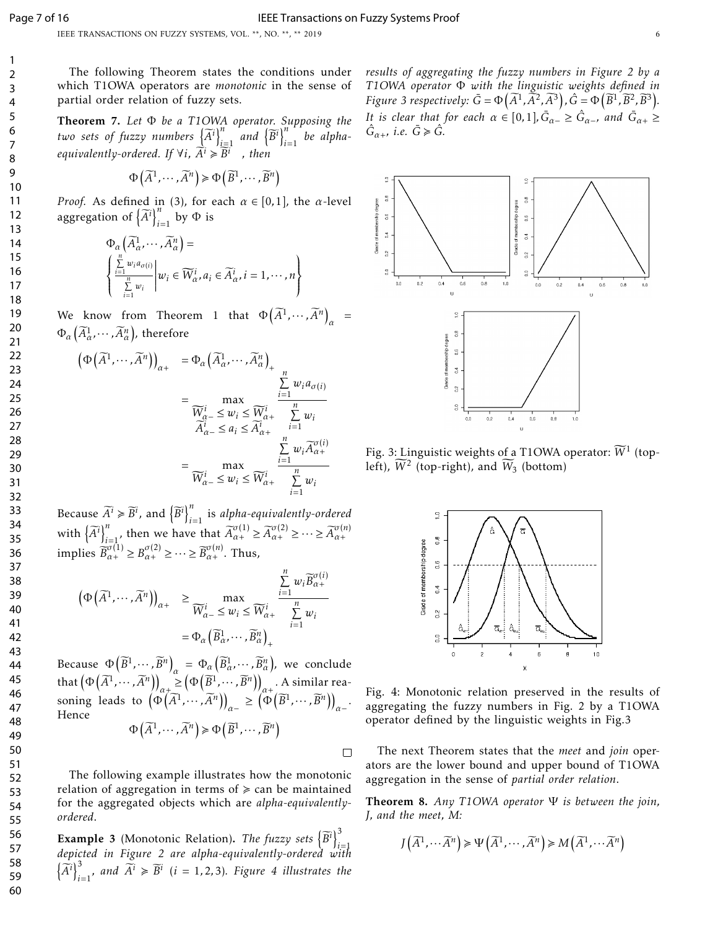IEEE TRANSACTIONS ON FUZZY SYSTEMS, VOL. \*\*, NO. \*\*, \*\* 2019 6

The following Theorem states the conditions under which T1OWA operators are *monotonic* in the sense of partial order relation of fuzzy sets.

Theorem 7. *Let* Φ *be a T1OWA operator. Supposing the* two sets of fuzzy numbers  $\left\{ \widetilde{A}^{i}\right\} _{i_{z}}^{n}$  $\sum_{i=1}^n$  and  $\left\{\widetilde{B}^i\right\}_{i=1}^n$ *i*=1 *be alphaequivalently-ordered. If*  $\forall i$ *,*  $\widetilde{A}^i \geq \widetilde{B}^i$  *, then* 

$$
\Phi\left(\widetilde{A}^1,\cdots,\widetilde{A}^n\right) \geq \Phi\left(\widetilde{B}^1,\cdots,\widetilde{B}^n\right)
$$

*Proof.* As defined in (3), for each  $\alpha \in [0,1]$ , the  $\alpha$ -level aggregation of  $\left\{\widetilde{A}^i\right\}_{i=1}^n$  $\sum_{i=1}^{\infty}$  by  $\Phi$  is

$$
\Phi_{\alpha} \left( \widetilde{A}_{\alpha}^1, \cdots, \widetilde{A}_{\alpha}^n \right) = \\ \begin{cases} \sum\limits_{i=1}^n w_i a_{\sigma(i)} \\ \sum\limits_{i=1}^n w_i \end{cases} w_i \in \widetilde{W}_{\alpha}^i, a_i \in \widetilde{A}_{\alpha}^i, i = 1, \cdots, n \Bigg\}
$$

We know from Theorem 1 that  $\Phi\left(\widetilde{A}^1,\cdots,\widetilde{A}^n\right)$ *α* =  $\Phi_{\alpha}\left(\widetilde{A}^1_{\alpha},\cdots,\widetilde{A}^n_{\alpha}\right)$ , therefore

$$
\left(\Phi\left(\widetilde{A}^{1},\cdots,\widetilde{A}^{n}\right)\right)_{\alpha+}=\Phi_{\alpha}\left(\widetilde{A}^{1}_{\alpha},\cdots,\widetilde{A}^{n}_{\alpha}\right)_{+}
$$
\n
$$
=\max_{\substack{\widetilde{W}^{i}_{\alpha-} \leq w_{i} \leq \widetilde{W}^{i}_{\alpha+} \\ \widetilde{A}^{i}_{\alpha-} \leq a_{i} \leq \widetilde{A}^{i}_{\alpha+} \\ \widetilde{W}^{i}_{\alpha+} \leq \widetilde{A}^{i}_{\alpha+} \\ \widetilde{W}^{i}_{\alpha-} \leq w_{i} \leq \widetilde{W}^{i}_{\alpha+} \sum_{i=1}^{n} w_{i} \widetilde{A}^{\sigma(i)}_{\alpha+}}\n\n=\max_{\substack{\sum_{i=1}^{n} w_{i} \widetilde{A}^{\sigma(i)}_{\alpha+} \\ \sum_{i=1}^{n} w_{i} \\ \widetilde{W}^{i}_{\alpha+} \leq w_{i} \leq \widetilde{W}^{i}_{\alpha+} \sum_{i=1}^{n} w_{i}}}
$$

Because  $\widetilde{A}^i \ge \widetilde{B}^i$ , and  $\left\{\widetilde{B}^i\right\}_{i=1}^n$ *i*=1 is *alpha-equivalently-ordered* with  $\left\{\widetilde{A}^i\right\}_{i=1}^n$ *i*<sub> $i=1$ , then we have that  $\widetilde{A}_{\alpha+}^{\sigma(1)} \geq \widetilde{A}_{\alpha+}^{\sigma(2)} \geq \cdots \geq \widetilde{A}_{\alpha+}^{\sigma(n)}$  $\widetilde{B}_{\alpha+}^{\sigma(1)} \geq B_{\alpha+}^{\sigma(2)} \geq \cdots \geq \widetilde{B}_{\alpha+}^{\sigma(n)}.$  Thus,

$$
\left(\Phi\left(\widetilde{A}^{1},\cdots,\widetilde{A}^{n}\right)\right)_{\alpha+} \geq \max_{\widetilde{W}_{\alpha-}^{i} \leq w_{i} \leq \widetilde{W}_{\alpha+}^{i}} \frac{\sum\limits_{i=1}^{n} w_{i} \widetilde{B}_{\alpha+}^{\sigma(i)}}{\sum\limits_{i=1}^{n} w_{i}}
$$

$$
= \Phi_{\alpha}\left(\widetilde{B}_{\alpha}^{1},\cdots,\widetilde{B}_{\alpha}^{n}\right)_{+}
$$

Because  $\Phi\left(\widetilde{B}^1,\cdots,\widetilde{B}^n\right)_{\alpha} = \Phi_{\alpha}\left(\widetilde{B}^1_{\alpha},\cdots,\widetilde{B}^n_{\alpha}\right)$ , we conclude that  $(\Phi(\widetilde{A}^1, \cdots, \widetilde{A}^n))_{\alpha+1}^{\alpha}$  $\mathbb{E}\left(\Phi\left(\widetilde{B}^1,\cdots,\widetilde{B}^n\right)\right)$  $a^+$ . A similar reasoning leads to  $(\Phi(\widetilde{A}^1, \dots, \widetilde{A}^n))$  $\alpha_{-} \geq (\Phi\left(\overline{B}^1,\cdots,\overline{B}^n\right))$ *α*− *.* Hence  $\Phi\left(\widetilde{A}^1,\cdots,\widetilde{A}^n\right) \geq \Phi\left(\widetilde{B}^1,\cdots,\widetilde{B}^n\right)$ 

 $\Box$ 

The following example illustrates how the monotonic relation of aggregation in terms of  $\geq$  can be maintained for the aggregated objects which are *alpha-equivalentlyordered*.

**Example 3** (Monotonic Relation). *The fuzzy sets*  $\left\{\widetilde{B}^i\right\}_{i=1}^3$ *i*=1 *depicted in Figure 2 are alpha-equivalently-ordered with*  $\left\{\overline{A}^i\right\}_{i=1}^3$  $\sum_{i=1}^{3}$ , and  $\widetilde{A}^{i} \geqslant \widetilde{B}^{i}$  (*i* = 1, 2, 3)*.* Figure 4 illustrates the *results of aggregating the fuzzy numbers in Figure 2 by a T1OWA operator* Φ *with the linguistic weights defined in Figure 3 respectively:*  $\bar{G} = \Phi\left(\widetilde{A}^1, \widetilde{A}^2, \widetilde{A}^3\right), \hat{G} = \Phi\left(\widetilde{B}^1, \widetilde{B}^2, \widetilde{B}^3\right)$ . *It is clear that for each*  $\alpha \in [0,1]$ ,  $\bar{G}_{\alpha-} \geq \hat{G}_{\alpha-}$ , and  $\bar{G}_{\alpha+} \geq$  $\hat{G}_{\alpha+}$ *, i.e.*  $\bar{G} \geq \hat{G}$ *.* 



Fig. 3: Linguistic weights of a T1OWA operator:  $\widetilde{W}^1$  (topleft),  $\widetilde{W}^2$  (top-right), and  $\widetilde{W}_3$  (bottom)



Fig. 4: Monotonic relation preserved in the results of aggregating the fuzzy numbers in Fig. 2 by a T1OWA operator defined by the linguistic weights in Fig.3

The next Theorem states that the *meet* and *join* operators are the lower bound and upper bound of T1OWA aggregation in the sense of *partial order relation*.

Theorem 8. *Any T1OWA operator* Ψ *is between the join, J, and the meet, M:*

$$
J(\widetilde{A}^1, \cdots \widetilde{A}^n) \ge \Psi(\widetilde{A}^1, \cdots, \widetilde{A}^n) \ge M(\widetilde{A}^1, \cdots \widetilde{A}^n)
$$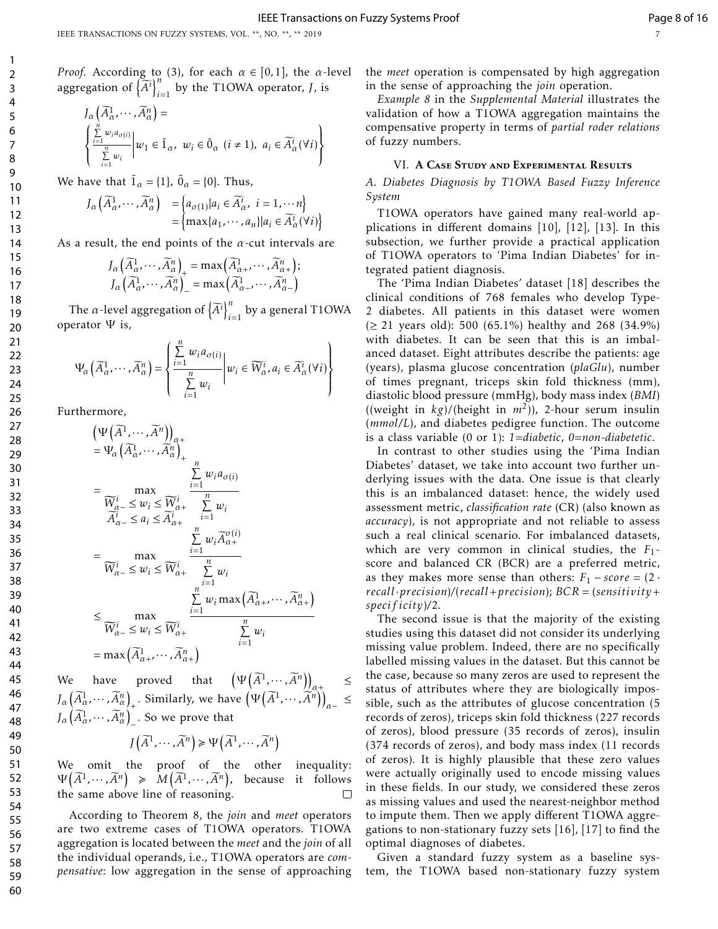*Proof.* According to (3), for each  $\alpha \in [0,1]$ , the  $\alpha$ -level aggregation of  $\left\{\widetilde{A}^i\right\}_{i=1}^n$  $\int_{i=1}^{1}$  by the T1OWA operator, *J*, is

$$
\begin{array}{l} J_{\alpha}\left(\widetilde{A}^1_{\alpha},\cdots,\widetilde{A}^n_{\alpha}\right)= \\ \left\{\begin{aligned} \sum\limits_{i=1}^n w_ia_{\sigma(i)}\\ \sum\limits_{i=1}^n w_i \end{aligned}\bigg| w_1\in \widetilde{1}_\alpha,\ w_i\in \widetilde{0}_\alpha\ (i\neq 1),\ a_i\in \widetilde{A}^i_\alpha(\forall i)\right\} \end{array}
$$

We have that  $\tilde{1}_\alpha = \{1\}$ ,  $\tilde{0}_\alpha = \{0\}$ . Thus,

$$
J_{\alpha}\left(\widetilde{A}_{\alpha}^{1},\cdots,\widetilde{A}_{\alpha}^{n}\right) = \begin{cases} a_{\sigma(1)}|a_{i} \in \widetilde{A}_{\alpha}^{i}, \ i = 1,\cdots n \end{cases}
$$

$$
= \begin{cases} \max\{a_{1},\cdots,a_{n}\}|a_{i} \in \widetilde{A}_{\alpha}^{i}(\forall i) \end{cases}
$$

As a result, the end points of the *α*-cut intervals are

$$
J_{\alpha}(\widetilde{A}^1_{\alpha}, \cdots, \widetilde{A}^n_{\alpha})_+ = \max(\widetilde{A}^1_{\alpha+}, \cdots, \widetilde{A}^n_{\alpha+});
$$
  

$$
J_{\alpha}(\widetilde{A}^1_{\alpha}, \cdots, \widetilde{A}^n_{\alpha})_- = \max(\widetilde{A}^1_{\alpha-}, \cdots, \widetilde{A}^n_{\alpha-})
$$

The *α*-level aggregation of  $\left\{\widetilde{A}^i\right\}_{i=1}^n$  $\int_{i=1}^{1}$  by a general T1OWA operator Ψ is,

$$
\Psi_{\alpha}\left(\widetilde{A}_{\alpha}^1,\cdots,\widetilde{A}_{\alpha}^n\right)=\left\{\frac{\sum\limits_{i=1}^nw_{i}a_{\sigma(i)}}{\sum\limits_{i=1}^nw_{i}}\middle| w_{i}\in\widetilde{W}_{\alpha}^i,a_{i}\in\widetilde{A}_{\alpha}^i(\forall i)\right\}
$$

Furthermore,

$$
(\Psi(\overline{A}^1, \dots, \overline{A}^n))_{\alpha+}
$$
  
\n
$$
= \Psi_{\alpha}(\overline{A}_{\alpha}^1, \dots, \overline{A}_{\alpha}^n)_{+}
$$
  
\n
$$
= \max_{\widetilde{W}_{\alpha-}^i \leq w_i \leq \widetilde{W}_{\alpha+}^i} \frac{\sum_{i=1}^n w_i a_{\sigma(i)}}{\sum_{i=1}^n w_i}
$$
  
\n
$$
= \overline{W}_{\alpha-}^i \leq a_i \leq \overline{A}_{\alpha+}^i \qquad \sum_{i=1}^n w_i
$$
  
\n
$$
= \overline{W}_{\alpha-}^i \leq w_i \leq \overline{W}_{\alpha+}^i + \sum_{i=1}^n w_i
$$
  
\n
$$
\leq \frac{\sum_{i=1}^n w_i \max(\overline{A}_{\alpha+}^1, \dots, \overline{A}_{\alpha+}^n)}{\sum_{i=1}^n w_i \max(\overline{A}_{\alpha+}^1, \dots, \overline{A}_{\alpha+}^n)}
$$
  
\n
$$
= \max(\overline{A}_{\alpha+}^1, \dots, \overline{A}_{\alpha+}^n)
$$

We have proved that  $\left(\Psi\big(\widetilde{A}^1,\cdots,\widetilde{A}^n\big)\right)$ *α*+ ≤  $J_{\alpha}\left(\widetilde{A}^1_{\alpha}, \cdots, \widetilde{A}^n_{\alpha}\right)$  $_{+}$  . Similarly, we have  $\left(\Psi\big(\widetilde{A}^{1},\cdots,\widetilde{A}^{n}\big)\right)$ *α*− ≤  $J_{\alpha}\left(\widetilde{A}_{\alpha}^1, \cdots, \widetilde{A}_{\alpha}^n\right)$ . So we prove that

$$
J\left(\widetilde{A}^1,\cdots,\widetilde{A}^n\right) \geq \Psi\left(\widetilde{A}^1,\cdots,\widetilde{A}^n\right)
$$

We omit the proof of the other inequality:  $\Psi(\widetilde{A}^1, \cdots, \widetilde{A}^n) \geq M(\widetilde{A}^1, \cdots, \widetilde{A}^n)$ , because it follows the same above line of reasoning.  $\Box$ 

According to Theorem 8, the *join* and *meet* operators are two extreme cases of T1OWA operators. T1OWA aggregation is located between the *meet* and the *join* of all the individual operands, i.e., T1OWA operators are *compensative*: low aggregation in the sense of approaching the *meet* operation is compensated by high aggregation in the sense of approaching the *join* operation.

*Example 8* in the *Supplemental Material* illustrates the validation of how a T1OWA aggregation maintains the compensative property in terms of *partial roder relations* of fuzzy numbers.

# VI. A Case Study and Experimental Results

*A. Diabetes Diagnosis by T1OWA Based Fuzzy Inference System*

T1OWA operators have gained many real-world applications in different domains [10], [12], [13]. In this subsection, we further provide a practical application of T1OWA operators to 'Pima Indian Diabetes' for integrated patient diagnosis.

The 'Pima Indian Diabetes' dataset [18] describes the clinical conditions of 768 females who develop Type-2 diabetes. All patients in this dataset were women  $(\geq 21$  years old): 500 (65.1%) healthy and 268 (34.9%) with diabetes. It can be seen that this is an imbalanced dataset. Eight attributes describe the patients: age (years), plasma glucose concentration (*plaGlu*), number of times pregnant, triceps skin fold thickness (mm), diastolic blood pressure (mmHg), body mass index (*BMI*) ((weight in *kg*)/(height in *m*<sup>2</sup> )), 2-hour serum insulin (*mmol/L*), and diabetes pedigree function. The outcome is a class variable (0 or 1): *1=diabetic*, *0=non-diabetetic*.

In contrast to other studies using the 'Pima Indian Diabetes' dataset, we take into account two further underlying issues with the data. One issue is that clearly this is an imbalanced dataset: hence, the widely used assessment metric, *classification rate* (CR) (also known as *accuracy*), is not appropriate and not reliable to assess such a real clinical scenario. For imbalanced datasets, which are very common in clinical studies, the *F*1 score and balanced CR (BCR) are a preferred metric, as they makes more sense than others:  $F_1$  – *score* = (2 · *recall*·*precision*)*/*(*recall*+*precision*); *BCR* = (*sensitivity*+ *specif icity*)*/*2.

The second issue is that the majority of the existing studies using this dataset did not consider its underlying missing value problem. Indeed, there are no specifically labelled missing values in the dataset. But this cannot be the case, because so many zeros are used to represent the status of attributes where they are biologically impossible, such as the attributes of glucose concentration (5 records of zeros), triceps skin fold thickness (227 records of zeros), blood pressure (35 records of zeros), insulin (374 records of zeros), and body mass index (11 records of zeros). It is highly plausible that these zero values were actually originally used to encode missing values in these fields. In our study, we considered these zeros as missing values and used the nearest-neighbor method to impute them. Then we apply different T1OWA aggregations to non-stationary fuzzy sets [16], [17] to find the optimal diagnoses of diabetes.

Given a standard fuzzy system as a baseline system, the T1OWA based non-stationary fuzzy system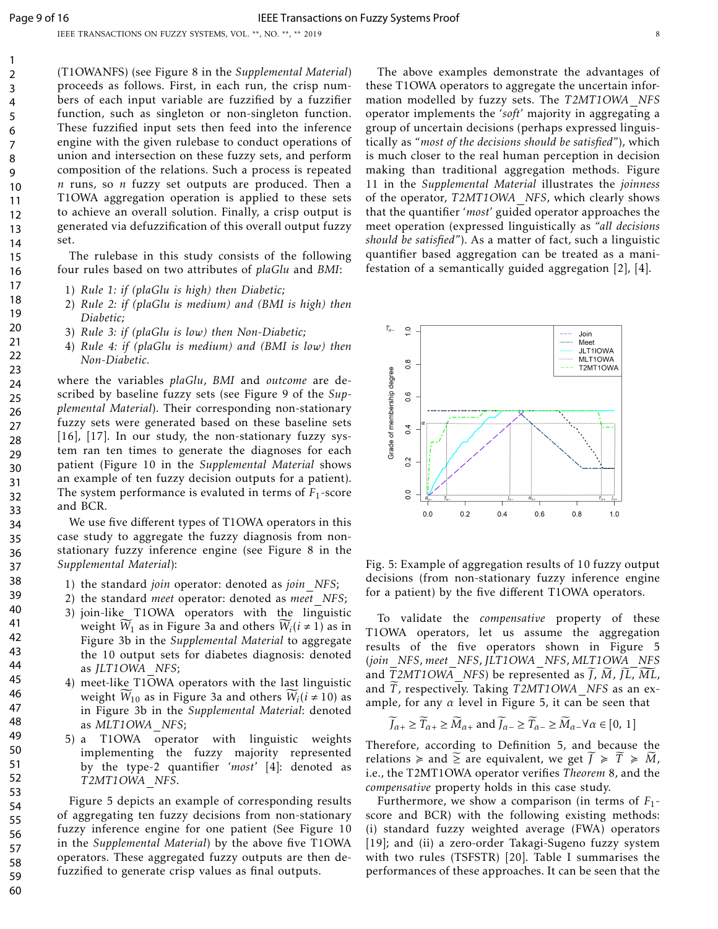(T1OWANFS) (see Figure 8 in the *Supplemental Material*) proceeds as follows. First, in each run, the crisp numbers of each input variable are fuzzified by a fuzzifier function, such as singleton or non-singleton function. These fuzzified input sets then feed into the inference engine with the given rulebase to conduct operations of union and intersection on these fuzzy sets, and perform composition of the relations. Such a process is repeated *n* runs, so *n* fuzzy set outputs are produced. Then a T1OWA aggregation operation is applied to these sets to achieve an overall solution. Finally, a crisp output is generated via defuzzification of this overall output fuzzy set.

The rulebase in this study consists of the following four rules based on two attributes of *plaGlu* and *BMI*:

- 1) *Rule 1: if (plaGlu is high) then Diabetic;*
- 2) *Rule 2: if (plaGlu is medium) and (BMI is high) then Diabetic;*
- 3) *Rule 3: if (plaGlu is low) then Non-Diabetic;*
- 4) *Rule 4: if (plaGlu is medium) and (BMI is low) then Non-Diabetic.*

where the variables *plaGlu*, *BMI* and *outcome* are described by baseline fuzzy sets (see Figure 9 of the *Supplemental Material*). Their corresponding non-stationary fuzzy sets were generated based on these baseline sets  $[16]$ ,  $[17]$ . In our study, the non-stationary fuzzy system ran ten times to generate the diagnoses for each patient (Figure 10 in the *Supplemental Material* shows an example of ten fuzzy decision outputs for a patient). The system performance is evaluted in terms of  $F_1$ -score and BCR.

We use five different types of T1OWA operators in this case study to aggregate the fuzzy diagnosis from nonstationary fuzzy inference engine (see Figure 8 in the *Supplemental Material*):

- 1) the standard *join* operator: denoted as *join NFS*;
- 2) the standard *meet* operator: denoted as *meet NFS*;
- 3) join-like T1OWA operators with the linguistic weight  $\widetilde{W}_1$  as in Figure 3a and others  $\widetilde{W}_i(i \neq 1)$  as in Figure 3b in the *Supplemental Material* to aggregate the 10 output sets for diabetes diagnosis: denoted as *JLT1OWA NFS*;
	- 4) meet-like T1OWA operators with the last linguistic weight  $\widetilde{W}_{10}$  as in Figure 3a and others  $\widetilde{W}_{i}(i \neq 10)$  as in Figure 3b in the *Supplemental Material*: denoted as *MLT1OWA NFS*;
	- 5) a T1OWA operator with linguistic weights implementing the fuzzy majority represented by the type-2 quantifier *'most'* [4]: denoted as *T2MT1OWA NFS*.

Figure 5 depicts an example of corresponding results of aggregating ten fuzzy decisions from non-stationary fuzzy inference engine for one patient (See Figure 10 in the *Supplemental Material*) by the above five T1OWA operators. These aggregated fuzzy outputs are then defuzzified to generate crisp values as final outputs.

The above examples demonstrate the advantages of these T1OWA operators to aggregate the uncertain information modelled by fuzzy sets. The *T2MT1OWA NFS* operator implements the '*soft*' majority in aggregating a group of uncertain decisions (perhaps expressed linguistically as *"most of the decisions should be satisfied"*), which is much closer to the real human perception in decision making than traditional aggregation methods. Figure 11 in the *Supplemental Material* illustrates the *joinness* of the operator, *T2MT1OWA NFS*, which clearly shows that the quantifier '*most*' guided operator approaches the meet operation (expressed linguistically as *"all decisions should be satisfied"*). As a matter of fact, such a linguistic quantifier based aggregation can be treated as a manifestation of a semantically guided aggregation [2], [4].



Fig. 5: Example of aggregation results of 10 fuzzy output decisions (from non-stationary fuzzy inference engine for a patient) by the five different T1OWA operators.

To validate the *compensative* property of these T1OWA operators, let us assume the aggregation results of the five operators shown in Figure 5 (*join NFS*, *meet NFS*, *JLT1OWA NFS*, *MLT1OWA NFS* and *T2MT1OWA NFS*) be represented as *J*, *M*, *JL*, *ML*, and *T*, respectively. Taking *T2MT1OWA NFS* as an example, for any *α* level in Figure 5, it can be seen that

$$
\widetilde{J}_{\alpha+} \geq \widetilde{T}_{\alpha+} \geq \widetilde{M}_{\alpha+}
$$
 and  $\widetilde{J}_{\alpha-} \geq \widetilde{T}_{\alpha-} \geq \widetilde{M}_{\alpha-} \forall \alpha \in [0, 1]$ 

Therefore, according to Definition 5, and because the relations  $\ge$  and  $\leq$  are equivalent, we get  $\overline{J} \geq T \geq \overline{M}$ , i.e., the T2MT1OWA operator verifies *Theorem* 8, and the *compensative* property holds in this case study.

Furthermore, we show a comparison (in terms of *F*1 score and BCR) with the following existing methods: (i) standard fuzzy weighted average (FWA) operators [19]; and (ii) a zero-order Takagi-Sugeno fuzzy system with two rules (TSFSTR) [20]. Table I summarises the performances of these approaches. It can be seen that the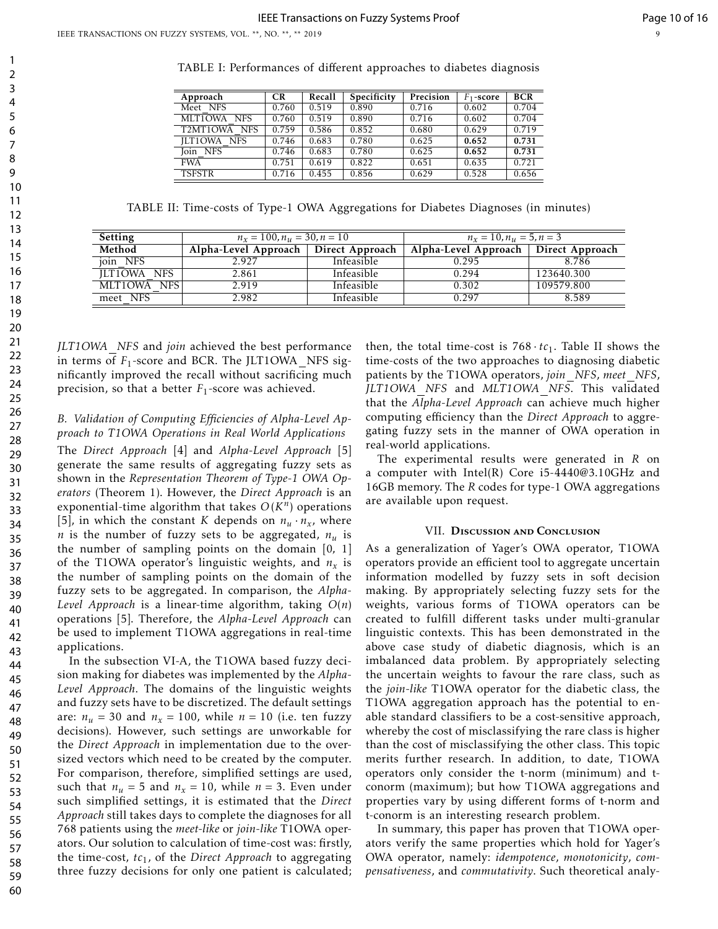$\overline{a}$ 

 $\overline{a}$ 

| Approach              | <b>CR</b> | Recall | Specificity | Precision | $F_1$ -score | <b>BCR</b> |
|-----------------------|-----------|--------|-------------|-----------|--------------|------------|
| Meet NFS              | 0.760     | 0.519  | 0.890       | 0.716     | 0.602        | 0.704      |
| MLT1OWA NFS           | 0.760     | 0.519  | 0.890       | 0.716     | 0.602        | 0.704      |
| T2MT1OWA NFS          | 0.759     | 0.586  | 0.852       | 0.680     | 0.629        | 0.719      |
| ILT1OWA<br><b>NFS</b> | 0.746     | 0.683  | 0.780       | 0.625     | 0.652        | 0.731      |
| Join NFS              | 0.746     | 0.683  | 0.780       | 0.625     | 0.652        | 0.731      |
| <b>FWA</b>            | 0.751     | 0.619  | 0.822       | 0.651     | 0.635        | 0.721      |
| <b>TSESTR</b>         | 0.716     | 0.455  | 0.856       | 0.629     | 0.528        | 0.656      |
|                       |           |        |             |           |              |            |

TABLE I: Performances of different approaches to diabetes diagnosis

TABLE II: Time-costs of Type-1 OWA Aggregations for Diabetes Diagnoses (in minutes)

| <b>Setting</b>     | $n_r = 100, n_u = 30, n = 10$ |                 | $n_r = 10, n_u = 5, n = 3$ |                 |  |
|--------------------|-------------------------------|-----------------|----------------------------|-----------------|--|
| Method             | Alpha-Level Approach          | Direct Approach | Alpha-Level Approach       | Direct Approach |  |
| join NFS           | 2.927                         | Infeasible      | 0.295                      | 8.786           |  |
| <b>ILT1OWA NFS</b> | 2.861                         | Infeasible      | 0.294                      | 123640.300      |  |
| MLT1OWA NFS        | 2.919                         | Infeasible      | 0.302                      | 109579.800      |  |
| meet NFS           | 2.982                         | Infeasible      | 0.297                      | 8.589           |  |

*JLT1OWA NFS* and *join* achieved the best performance in terms of *F*1-score and BCR. The JLT1OWA NFS significantly improved the recall without sacrificing much precision, so that a better  $F_1$ -score was achieved.

# *B. Validation of Computing Efficiencies of Alpha-Level Approach to T1OWA Operations in Real World Applications*

The *Direct Approach* [4] and *Alpha-Level Approach* [5] generate the same results of aggregating fuzzy sets as shown in the *Representation Theorem of Type-1 OWA Operators* (Theorem 1). However, the *Direct Approach* is an exponential-time algorithm that takes *O*(*K n* ) operations [5], in which the constant *K* depends on  $n_u \cdot n_x$ , where *n* is the number of fuzzy sets to be aggregated, *n<sup>u</sup>* is the number of sampling points on the domain [0*,* 1] of the T1OWA operator's linguistic weights, and *n<sup>x</sup>* is the number of sampling points on the domain of the fuzzy sets to be aggregated. In comparison, the *Alpha-Level Approach* is a linear-time algorithm, taking *O*(*n*) operations [5]. Therefore, the *Alpha-Level Approach* can be used to implement T1OWA aggregations in real-time applications.

In the subsection VI-A, the T1OWA based fuzzy decision making for diabetes was implemented by the *Alpha-Level Approach*. The domains of the linguistic weights and fuzzy sets have to be discretized. The default settings are:  $n_u = 30$  and  $n_x = 100$ , while  $n = 10$  (i.e. ten fuzzy decisions). However, such settings are unworkable for the *Direct Approach* in implementation due to the oversized vectors which need to be created by the computer. For comparison, therefore, simplified settings are used, such that  $n_u = 5$  and  $n_x = 10$ , while  $n = 3$ . Even under such simplified settings, it is estimated that the *Direct Approach* still takes days to complete the diagnoses for all 768 patients using the *meet-like* or *join-like* T1OWA operators. Our solution to calculation of time-cost was: firstly, the time-cost, *tc*1, of the *Direct Approach* to aggregating three fuzzy decisions for only one patient is calculated; then, the total time-cost is  $768 \cdot tc_1$ . Table II shows the time-costs of the two approaches to diagnosing diabetic patients by the T1OWA operators, *join NFS*, *meet NFS*, *JLT1OWA NFS* and *MLT1OWA NFS*. This validated that the *Alpha-Level Approach* can achieve much higher computing efficiency than the *Direct Approach* to aggregating fuzzy sets in the manner of OWA operation in real-world applications.

The experimental results were generated in *R* on a computer with Intel(R) Core i5-4440@3.10GHz and 16GB memory. The *R* codes for type-1 OWA aggregations are available upon request.

## VII. Discussion and Conclusion

As a generalization of Yager's OWA operator, T1OWA operators provide an efficient tool to aggregate uncertain information modelled by fuzzy sets in soft decision making. By appropriately selecting fuzzy sets for the weights, various forms of T1OWA operators can be created to fulfill different tasks under multi-granular linguistic contexts. This has been demonstrated in the above case study of diabetic diagnosis, which is an imbalanced data problem. By appropriately selecting the uncertain weights to favour the rare class, such as the *join-like* T1OWA operator for the diabetic class, the T1OWA aggregation approach has the potential to enable standard classifiers to be a cost-sensitive approach, whereby the cost of misclassifying the rare class is higher than the cost of misclassifying the other class. This topic merits further research. In addition, to date, T1OWA operators only consider the t-norm (minimum) and tconorm (maximum); but how T1OWA aggregations and properties vary by using different forms of t-norm and t-conorm is an interesting research problem.

In summary, this paper has proven that T1OWA operators verify the same properties which hold for Yager's OWA operator, namely: *idempotence*, *monotonicity*, *compensativeness*, and *commutativity*. Such theoretical analy-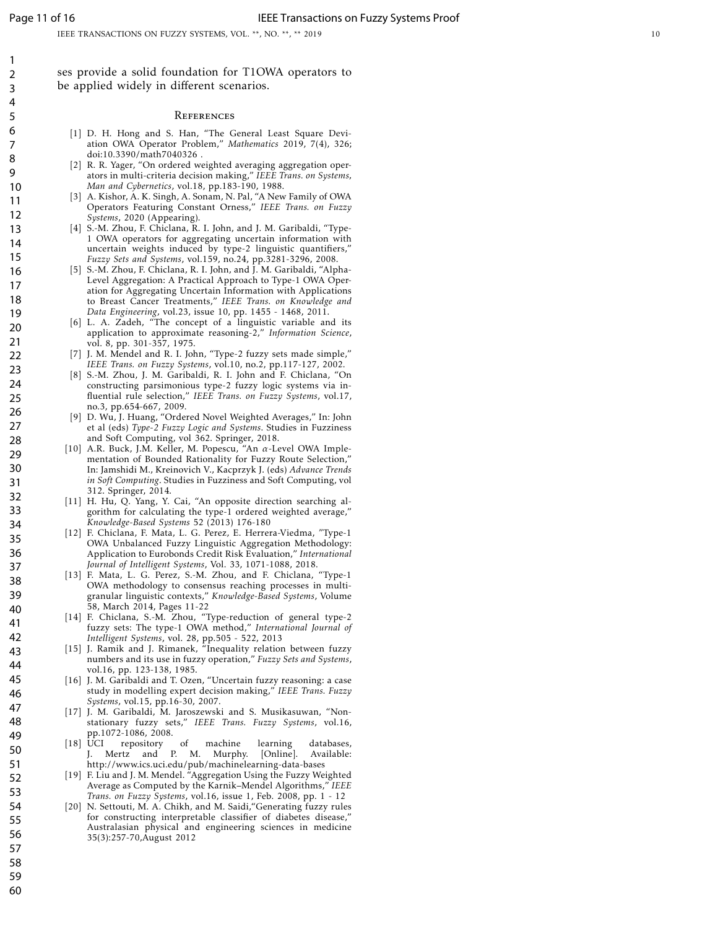IEEE TRANSACTIONS ON FUZZY SYSTEMS, VOL. \*\*, NO. \*\*, \*\* 2019 10

ses provide a solid foundation for T1OWA operators to be applied widely in di fferent scenarios.

### **REFERENCES**

- [1] D. H. Hong and S. Han, "The General Least Square Deviation OWA Operator Problem," *Mathematics* 2019, 7(4), 326; doi:10.3390/math7040326 .
- [2] R. R. Yager, "On ordered weighted averaging aggregation operators in multi-criteria decision making," *IEEE Trans. on Systems, Man and Cybernetics*, vol.18, pp.183-190, 1988.
- [3] A. Kishor, A. K. Singh, A. Sonam, N. Pal, "A New Family of OWA Operators Featuring Constant Orness," *IEEE Trans. on Fuzzy Systems*, 2020 (Appearing).
- [4] S.-M. Zhou, F. Chiclana, R. I. John, and J. M. Garibaldi, "Type-1 OWA operators for aggregating uncertain information with uncertain weights induced by type-2 linguistic quantifiers," *Fuzzy Sets and Systems*, vol.159, no.24, pp.3281-3296, 2008.
- [5] S.-M. Zhou, F. Chiclana, R. I. John, and J. M. Garibaldi, "Alpha-Level Aggregation: A Practical Approach to Type-1 OWA Operation for Aggregating Uncertain Information with Applications to Breast Cancer Treatments," *IEEE Trans. on Knowledge and Data Engineering*, vol.23, issue 10, pp. 1455 - 1468, 2011.
- [6] L. A. Zadeh, "The concept of a linguistic variable and its application to approximate reasoning-2," *Information Science* , vol. 8, pp. 301-357, 1975.
- [7] J. M. Mendel and R. I. John, "Type-2 fuzzy sets made simple," *IEEE Trans. on Fuzzy Systems*, vol.10, no.2, pp.117-127, 2002.
- [8] S.-M. Zhou, J. M. Garibaldi, R. I. John and F. Chiclana, "On constructing parsimonious type-2 fuzzy logic systems via influential rule selection," *IEEE Trans. on Fuzzy Systems*, vol.17, no.3, pp.654-667, 2009.
- [9] D. Wu, J. Huang, "Ordered Novel Weighted Averages," In: John et al (eds) *Type-2 Fuzzy Logic and Systems*. Studies in Fuzziness and Soft Computing, vol 362. Springer, 2018.
- [10] A.R. Buck, J.M. Keller, M. Popescu, "An *α*-Level OWA Implementation of Bounded Rationality for Fuzzy Route Selection," In: Jamshidi M., Kreinovich V., Kacprzyk J. (eds) *Advance Trends in Soft Computing*. Studies in Fuzziness and Soft Computing, vol 312. Springer, 2014.
- [11] H. Hu, Q. Yang, Y. Cai, "An opposite direction searching algorithm for calculating the type-1 ordered weighted average," *Knowledge-Based Systems* 52 (2013) 176-180
- [12] F. Chiclana, F. Mata, L. G. Perez, E. Herrera-Viedma, "Type-1 OWA Unbalanced Fuzzy Linguistic Aggregation Methodology: Application to Eurobonds Credit Risk Evaluation," *International Journal of Intelligent Systems*, Vol. 33, 1071-1088, 2018.
- [13] F. Mata, L. G. Perez, S.-M. Zhou, and F. Chiclana, "Type-1 OWA methodology to consensus reaching processes in multigranular linguistic contexts," *Knowledge-Based Systems*, Volume 58, March 2014, Pages 11-22
- [14] F. Chiclana, S.-M. Zhou, "Type-reduction of general type-2 fuzzy sets: The type-1 OWA method," *International Journal of Intelligent Systems*, vol. 28, pp.505 - 522, 2013
- [15] J. Ramik and J. Rimanek, "Inequality relation between fuzzy numbers and its use in fuzzy operation," *Fuzzy Sets and Systems* , vol.16, pp. 123-138, 1985.
- [16] J. M. Garibaldi and T. Ozen, "Uncertain fuzzy reasoning: a case study in modelling expert decision making," *IEEE Trans. Fuzzy Systems*, vol.15, pp.16-30, 2007.
- [17] J. M. Garibaldi, M. Jaroszewski and S. Musikasuwan, "Nonstationary fuzzy sets," *IEEE Trans. Fuzzy Systems*, vol.16, pp.1072-1086, 2008.<br>[18] UCI repository
- repository of machine learning databases, Mertz and P. M. Murphy. [Online]. Available: http://www.ics.uci.edu/pub/machinelearning-data-bases
- [19] F. Liu and J. M. Mendel. "Aggregation Using the Fuzzy Weighted Average as Computed by the Karnik–Mendel Algorithms," *IEEE Trans. on Fuzzy Systems*, vol.16, issue 1, Feb. 2008, pp. 1 - 12
- [20] N. Settouti, M. A. Chikh, and M. Saidi,"Generating fuzzy rules for constructing interpretable classifier of diabetes disease,' Australasian physical and engineering sciences in medicine 35(3):257-70,August 2012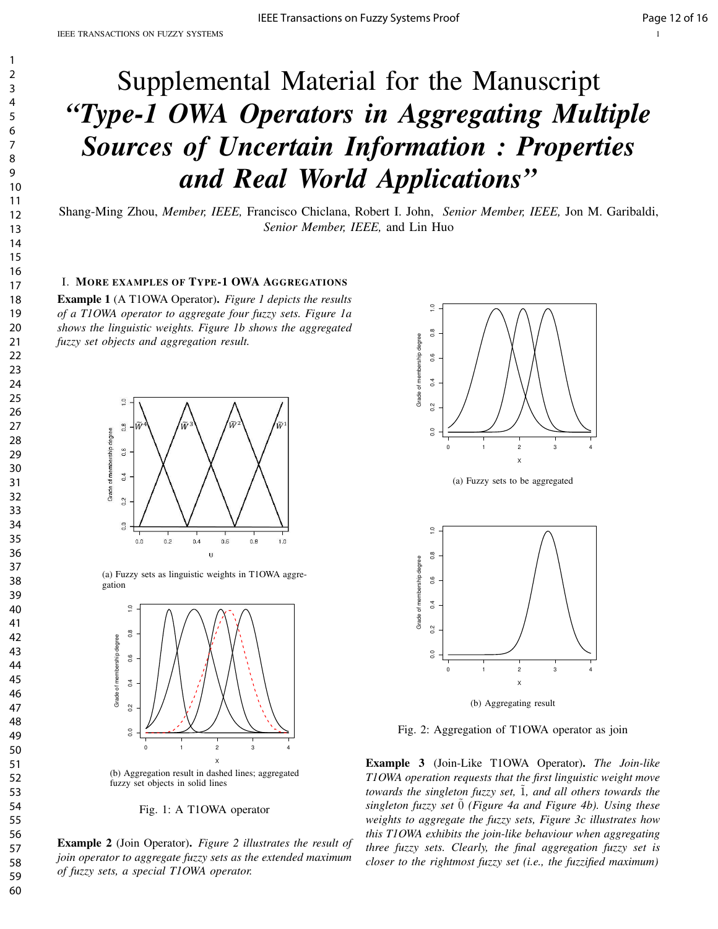# Supplemental Material for the Manuscript *"Type-1 OWA Operators in Aggregating Multiple Sources of Uncertain Information : Properties and Real World Applications"*

Shang-Ming Zhou, *Member, IEEE,* Francisco Chiclana, Robert I. John, *Senior Member, IEEE,* Jon M. Garibaldi, *Senior Member, IEEE,* and Lin Huo

# I. MORE EXAMPLES OF TYPE-1 OWA AGGREGATIONS

Example 1 (A T1OWA Operator). *Figure 1 depicts the results of a T1OWA operator to aggregate four fuzzy sets. Figure 1a shows the linguistic weights. Figure 1b shows the aggregated fuzzy set objects and aggregation result.*



(a) Fuzzy sets as linguistic weights in T1OWA aggregation





Fig. 1: A T1OWA operator

Example 2 (Join Operator). *Figure 2 illustrates the result of join operator to aggregate fuzzy sets as the extended maximum*



(a) Fuzzy sets to be aggregated



(b) Aggregating result

Fig. 2: Aggregation of T1OWA operator as join

Example 3 (Join-Like T1OWA Operator). *The Join-like T1OWA operation requests that the first linguistic weight move towards the singleton fuzzy set,*  $\tilde{1}$ *, and all others towards the singleton fuzzy set* ˜0 *(Figure 4a and Figure 4b). Using these weights to aggregate the fuzzy sets, Figure 3c illustrates how this T1OWA exhibits the join-like behaviour when aggregating three fuzzy sets. Clearly, the final aggregation fuzzy set is closer to the rightmost fuzzy set (i.e., the fuzzified maximum)*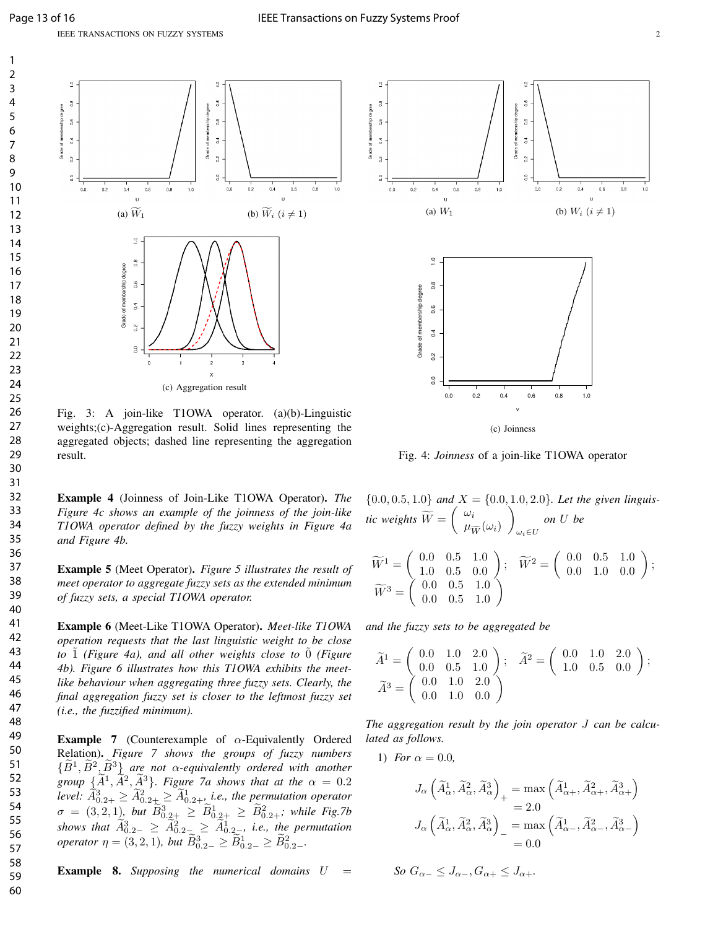

Fig. 3: A join-like T1OWA operator. (a)(b)-Linguistic weights;(c)-Aggregation result. Solid lines representing the aggregated objects; dashed line representing the aggregation result.

Example 4 (Joinness of Join-Like T1OWA Operator). *The Figure 4c shows an example of the joinness of the join-like T1OWA operator defined by the fuzzy weights in Figure 4a and Figure 4b.*

Example 5 (Meet Operator). *Figure 5 illustrates the result of meet operator to aggregate fuzzy sets as the extended minimum of fuzzy sets, a special T1OWA operator.*

Example 6 (Meet-Like T1OWA Operator). *Meet-like T1OWA operation requests that the last linguistic weight to be close to* ˜1 *(Figure 4a), and all other weights close to* ˜0 *(Figure 4b). Figure 6 illustrates how this T1OWA exhibits the meetlike behaviour when aggregating three fuzzy sets. Clearly, the final aggregation fuzzy set is closer to the leftmost fuzzy set (i.e., the fuzzified minimum).*

**Example 7** (Counterexample of  $\alpha$ -Equivalently Ordered Relation). *Figure 7 shows the groups of fuzzy numbers*  $\{\widetilde{B}^1, \widetilde{B}^2, \widetilde{B}^3\}$  are not  $\alpha$ -equivalently ordered with another *group*  $\{ \widetilde{A}^1, \widetilde{A}^2, \widetilde{A}^3 \}$ . *Figure 7a shows that at the*  $\alpha = 0.2$ *level:*  $\widetilde{A}_{0.2+}^3 \geq \widetilde{A}_{0.2+}^2 \geq \widetilde{A}_{0.2+}^1$ , *i.e., the permutation operator*  $\sigma = (3, 2, 1)$ , but  $\tilde{B}_{0,2+}^3 \ge \tilde{B}_{0,2+}^1 \ge \tilde{B}_{0,2+}^2$ ; while Fig.7b shows that  $\widetilde{A}_{0,2-}^3 \geq \widetilde{A}_{0,2-}^2 \geq \widetilde{A}_{0,2-}^1$ , *i.e.*, the permutation *operator*  $\eta = (3, 2, 1)$ *, but*  $\widetilde{B}_{0.2-}^3 \ge \widetilde{B}_{0.2-}^1 \ge \widetilde{B}_{0.2-}^2$ *.* 

**Example 8.** Supposing the numerical domains  $U =$ 



Fig. 4: *Joinness* of a join-like T1OWA operator

 $\{0.0, 0.5, 1.0\}$  and  $X = \{0.0, 1.0, 2.0\}$ . Let the given linguis*tic weights*  $\widetilde{W} = \begin{pmatrix} \omega_i \\ \mu_i \end{pmatrix}$  $\mu_{\widetilde{W}}(\omega_i)$  $\setminus$  $\omega_i \in U$ *on* U *be*  $\widetilde{W}^1 = \left( \begin{array}{ccc} 0.0 & 0.5 & 1.0 \ 1.0 & 0.5 & 0.0 \end{array} \right)$ 1.0 0.5 0.0  $\widetilde{W}^2 = \left( \begin{array}{ccc} 0.0 & 0.5 & 1.0 \ 0.0 & 1.0 & 0.0 \end{array} \right)$ 0.0 1.0 0.0  $\bigg)$  ;  $\widetilde{W}^3 = \left( \begin{array}{ccc} 0.0 & 0.5 & 1.0 \ 0.0 & 0.5 & 1.0 \ \end{array} \right)$  $\setminus$ 

*and the fuzzy sets to be aggregated be*

0.0 0.5 1.0

$$
\widetilde{A}^1 = \begin{pmatrix} 0.0 & 1.0 & 2.0 \\ 0.0 & 0.5 & 1.0 \end{pmatrix}; \quad \widetilde{A}^2 = \begin{pmatrix} 0.0 & 1.0 & 2.0 \\ 1.0 & 0.5 & 0.0 \end{pmatrix};
$$

$$
\widetilde{A}^3 = \begin{pmatrix} 0.0 & 1.0 & 2.0 \\ 0.0 & 1.0 & 0.0 \end{pmatrix}
$$

*The aggregation result by the join operator* J *can be calculated as follows.*

1) *For*  $\alpha = 0.0$ ,

$$
J_{\alpha}\left(\tilde{A}_{\alpha}^{1}, \tilde{A}_{\alpha}^{2}, \tilde{A}_{\alpha}^{3}\right)_{+} = \max\left(\tilde{A}_{\alpha+}^{1}, \tilde{A}_{\alpha+}^{2}, \tilde{A}_{\alpha+}^{3}\right)
$$
  
= 2.0  

$$
J_{\alpha}\left(\tilde{A}_{\alpha}^{1}, \tilde{A}_{\alpha}^{2}, \tilde{A}_{\alpha}^{3}\right)_{-} = \max\left(\tilde{A}_{\alpha-}^{1}, \tilde{A}_{\alpha-}^{2}, \tilde{A}_{\alpha-}^{3}\right)
$$
  
= 0.0

*So*  $G_{\alpha-} \leq J_{\alpha-}, G_{\alpha+} \leq J_{\alpha+}.$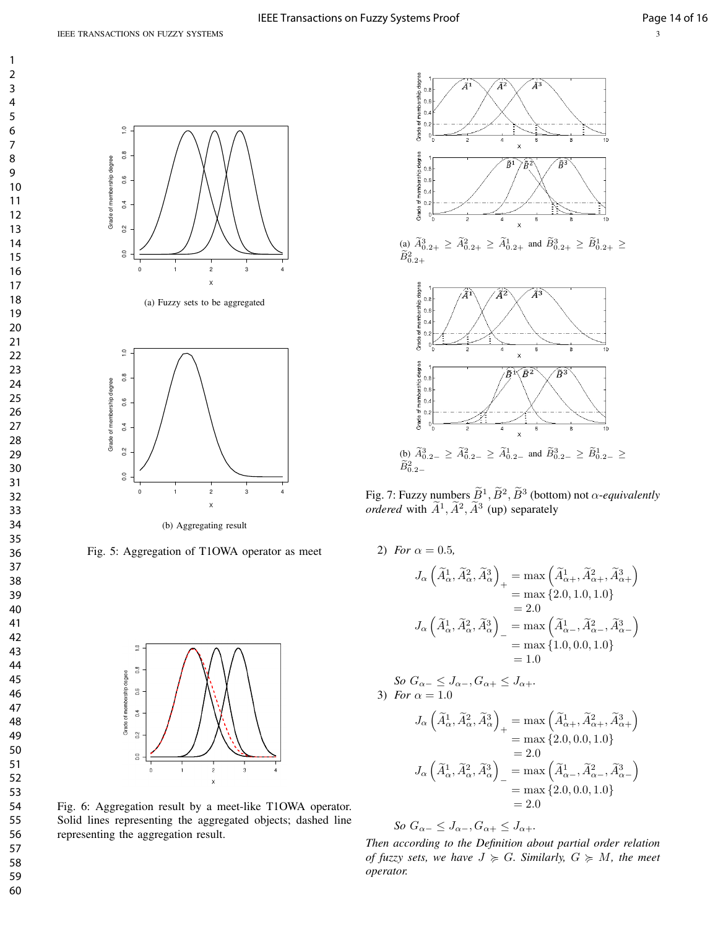



(b) Aggregating result

Fig. 5: Aggregation of T1OWA operator as meet



Fig. 6: Aggregation result by a meet-like T1OWA operator. Solid lines representing the aggregated objects; dashed line representing the aggregation result.



Fig. 7: Fuzzy numbers  $\tilde{B}^1$ ,  $\tilde{B}^2$ ,  $\tilde{B}^3$  (bottom) not  $\alpha$ -equivalently *ordered* with  $\tilde{A}^1$ ,  $\tilde{A}^2$ ,  $\tilde{A}^3$  (up) separately

2) *For*  $\alpha = 0.5$ ,  $J_{\alpha}\left(\widetilde{A}_{\alpha}^{1},\widetilde{A}_{\alpha}^{2},\widetilde{A}_{\alpha}^{3}\right)$  $+ = \max\left(\widetilde{A}_{\alpha+}^1, \widetilde{A}_{\alpha+}^2, \widetilde{A}_{\alpha+}^3\right)$  $=$  max {2.0, 1.0, 1.0}  $= 2.0$  $J_{\alpha}\left(\widetilde{A}_{\alpha}^{1},\widetilde{A}_{\alpha}^{2},\widetilde{A}_{\alpha}^{3}\right)$  $=$ max  $(\widetilde{A}^1_{\alpha-}, \widetilde{A}^2_{\alpha-}, \widetilde{A}^3_{\alpha-})$  $=$  max {1.0, 0.0, 1.0}  $= 1.0$ 

*So*  $G_{\alpha-} \leq J_{\alpha-}, G_{\alpha+} \leq J_{\alpha+}.$ 3) *For*  $\alpha = 1.0$ 

$$
J_{\alpha}\left(\tilde{A}_{\alpha}^{1}, \tilde{A}_{\alpha}^{2}, \tilde{A}_{\alpha}^{3}\right)_{+} = \max\left(\tilde{A}_{\alpha+}^{1}, \tilde{A}_{\alpha+}^{2}, \tilde{A}_{\alpha+}^{3}\right) = \max\left\{2.0, 0.0, 1.0\right\} = 2.0 J_{\alpha}\left(\tilde{A}_{\alpha}^{1}, \tilde{A}_{\alpha}^{2}, \tilde{A}_{\alpha}^{3}\right)_{-} = \max\left(\tilde{A}_{\alpha-}^{1}, \tilde{A}_{\alpha-}^{2}, \tilde{A}_{\alpha-}^{3}\right) = \max\left\{2.0, 0.0, 1.0\right\} = 2.0
$$

*So*  $G_{\alpha-} \leq J_{\alpha-}, G_{\alpha+} \leq J_{\alpha+}.$ 

*Then according to the Definition about partial order relation of fuzzy sets, we have*  $J \succcurlyeq G$ *. Similarly,*  $G \succcurlyeq M$ *, the meet operator.*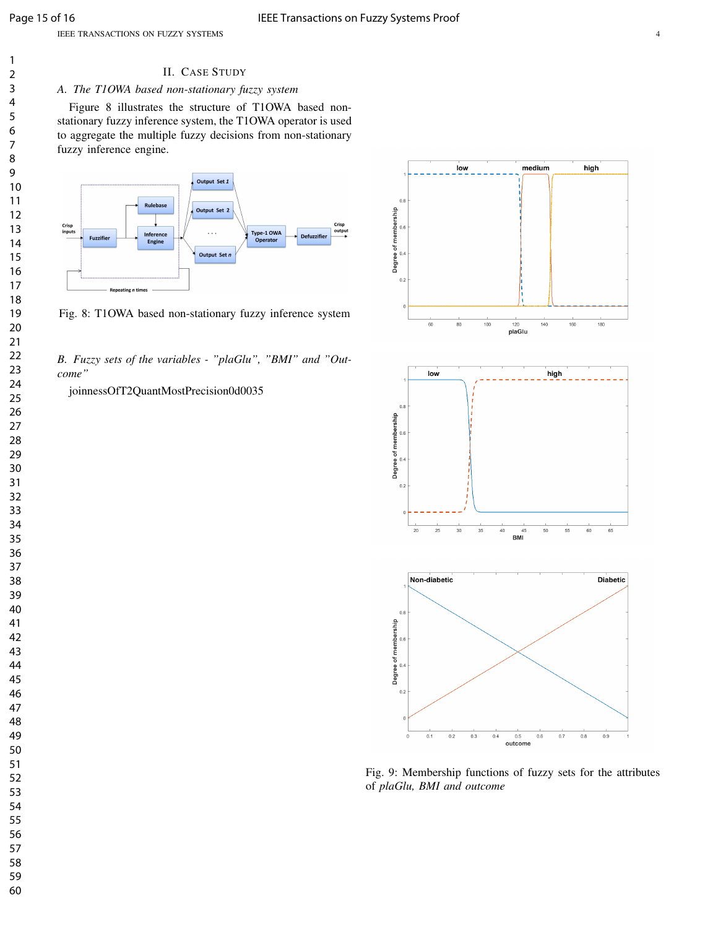# *A. The T1OWA based non-stationary fuzzy system*

Figure 8 illustrates the structure of T1OWA based nonstationary fuzzy inference system, the T1OWA operator is used to aggregate the multiple fuzzy decisions from non-stationary fuzzy inference engine.



Fig. 8: T1OWA based non-stationary fuzzy inference system

*B. Fuzzy sets of the variables - "plaGlu", "BMI" and "Outcome"*

joinnessOfT2QuantMostPrecision0d0035



Fig. 9: Membership functions of fuzzy sets for the attributes of *plaGlu, BMI and outcome*